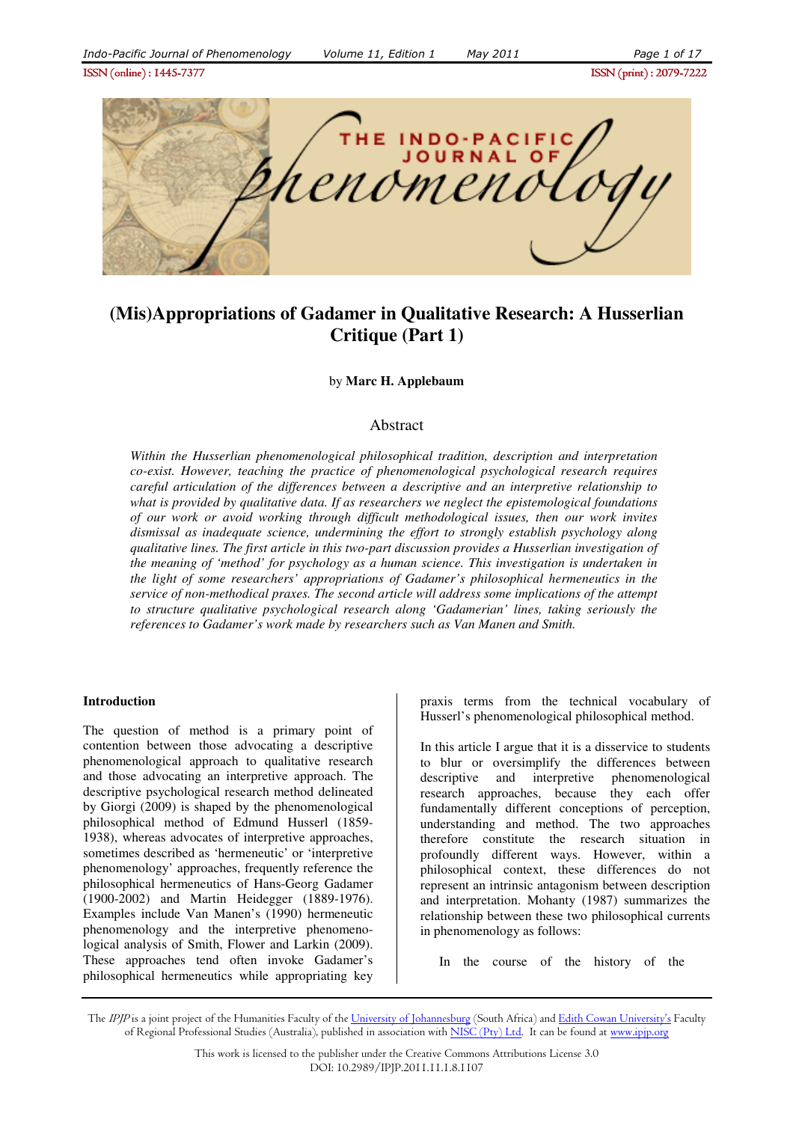

# **(Mis)Appropriations of Gadamer in Qualitative Research: A Husserlian Critique (Part 1)**

by **Marc H. Applebaum** 

## Abstract

*Within the Husserlian phenomenological philosophical tradition, description and interpretation co-exist. However, teaching the practice of phenomenological psychological research requires careful articulation of the differences between a descriptive and an interpretive relationship to what is provided by qualitative data. If as researchers we neglect the epistemological foundations of our work or avoid working through difficult methodological issues, then our work invites dismissal as inadequate science, undermining the effort to strongly establish psychology along qualitative lines. The first article in this two-part discussion provides a Husserlian investigation of the meaning of 'method' for psychology as a human science. This investigation is undertaken in the light of some researchers' appropriations of Gadamer's philosophical hermeneutics in the service of non-methodical praxes. The second article will address some implications of the attempt to structure qualitative psychological research along 'Gadamerian' lines, taking seriously the references to Gadamer's work made by researchers such as Van Manen and Smith.* 

#### **Introduction**

The question of method is a primary point of contention between those advocating a descriptive phenomenological approach to qualitative research and those advocating an interpretive approach. The descriptive psychological research method delineated by Giorgi (2009) is shaped by the phenomenological philosophical method of Edmund Husserl (1859- 1938), whereas advocates of interpretive approaches, sometimes described as 'hermeneutic' or 'interpretive phenomenology' approaches, frequently reference the philosophical hermeneutics of Hans-Georg Gadamer (1900-2002) and Martin Heidegger (1889-1976). Examples include Van Manen's (1990) hermeneutic phenomenology and the interpretive phenomenological analysis of Smith, Flower and Larkin (2009). These approaches tend often invoke Gadamer's philosophical hermeneutics while appropriating key

praxis terms from the technical vocabulary of Husserl's phenomenological philosophical method.

In this article I argue that it is a disservice to students to blur or oversimplify the differences between descriptive and interpretive phenomenological research approaches, because they each offer fundamentally different conceptions of perception, understanding and method. The two approaches therefore constitute the research situation in profoundly different ways. However, within a philosophical context, these differences do not represent an intrinsic antagonism between description and interpretation. Mohanty (1987) summarizes the relationship between these two philosophical currents in phenomenology as follows:

In the course of the history of the

The IPJP is a joint project of the Humanities Faculty of the University of Johannesburg (South Africa) and Edith Cowan University's Faculty of Regional Professional Studies (Australia), published in association with NISC (Pty) Ltd. It can be found at www.ipjp.org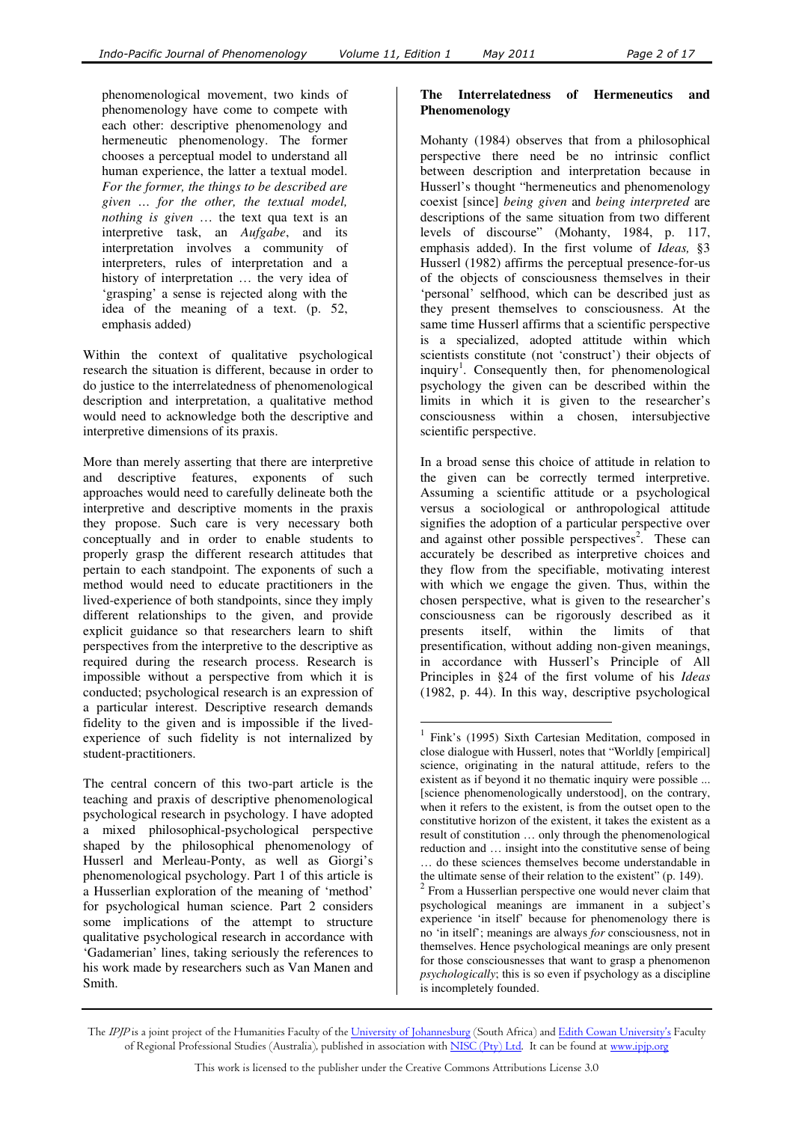phenomenological movement, two kinds of phenomenology have come to compete with each other: descriptive phenomenology and hermeneutic phenomenology. The former chooses a perceptual model to understand all human experience, the latter a textual model. *For the former, the things to be described are given … for the other, the textual model, nothing is given* … the text qua text is an interpretive task, an *Aufgabe*, and its interpretation involves a community of interpreters, rules of interpretation and a history of interpretation … the very idea of 'grasping' a sense is rejected along with the idea of the meaning of a text. (p. 52, emphasis added)

Within the context of qualitative psychological research the situation is different, because in order to do justice to the interrelatedness of phenomenological description and interpretation, a qualitative method would need to acknowledge both the descriptive and interpretive dimensions of its praxis.

More than merely asserting that there are interpretive and descriptive features, exponents of such approaches would need to carefully delineate both the interpretive and descriptive moments in the praxis they propose. Such care is very necessary both conceptually and in order to enable students to properly grasp the different research attitudes that pertain to each standpoint. The exponents of such a method would need to educate practitioners in the lived-experience of both standpoints, since they imply different relationships to the given, and provide explicit guidance so that researchers learn to shift perspectives from the interpretive to the descriptive as required during the research process. Research is impossible without a perspective from which it is conducted; psychological research is an expression of a particular interest. Descriptive research demands fidelity to the given and is impossible if the livedexperience of such fidelity is not internalized by student-practitioners.

The central concern of this two-part article is the teaching and praxis of descriptive phenomenological psychological research in psychology. I have adopted a mixed philosophical-psychological perspective shaped by the philosophical phenomenology of Husserl and Merleau-Ponty, as well as Giorgi's phenomenological psychology. Part 1 of this article is a Husserlian exploration of the meaning of 'method' for psychological human science. Part 2 considers some implications of the attempt to structure qualitative psychological research in accordance with 'Gadamerian' lines, taking seriously the references to his work made by researchers such as Van Manen and Smith.

## **The Interrelatedness of Hermeneutics and Phenomenology**

Mohanty (1984) observes that from a philosophical perspective there need be no intrinsic conflict between description and interpretation because in Husserl's thought "hermeneutics and phenomenology coexist [since] *being given* and *being interpreted* are descriptions of the same situation from two different levels of discourse" (Mohanty, 1984, p. 117, emphasis added). In the first volume of *Ideas,* §3 Husserl (1982) affirms the perceptual presence-for-us of the objects of consciousness themselves in their 'personal' selfhood, which can be described just as they present themselves to consciousness. At the same time Husserl affirms that a scientific perspective is a specialized, adopted attitude within which scientists constitute (not 'construct') their objects of inquiry<sup>1</sup>. Consequently then, for phenomenological psychology the given can be described within the limits in which it is given to the researcher's consciousness within a chosen, intersubjective scientific perspective.

In a broad sense this choice of attitude in relation to the given can be correctly termed interpretive. Assuming a scientific attitude or a psychological versus a sociological or anthropological attitude signifies the adoption of a particular perspective over and against other possible perspectives<sup>2</sup>. These can accurately be described as interpretive choices and they flow from the specifiable, motivating interest with which we engage the given. Thus, within the chosen perspective, what is given to the researcher's consciousness can be rigorously described as it presents itself, within the limits of that presentification, without adding non-given meanings, in accordance with Husserl's Principle of All Principles in §24 of the first volume of his *Ideas* (1982, p. 44). In this way, descriptive psychological

… do these sciences themselves become understandable in the ultimate sense of their relation to the existent" (p. 149).

<sup>&</sup>lt;sup>1</sup> Fink's (1995) Sixth Cartesian Meditation, composed in close dialogue with Husserl, notes that "Worldly [empirical] science, originating in the natural attitude, refers to the existent as if beyond it no thematic inquiry were possible ... [science phenomenologically understood], on the contrary, when it refers to the existent, is from the outset open to the constitutive horizon of the existent, it takes the existent as a result of constitution … only through the phenomenological reduction and … insight into the constitutive sense of being

<sup>&</sup>lt;sup>2</sup> From a Husserlian perspective one would never claim that psychological meanings are immanent in a subject's experience 'in itself' because for phenomenology there is no 'in itself'; meanings are always *for* consciousness, not in themselves. Hence psychological meanings are only present for those consciousnesses that want to grasp a phenomenon *psychologically*; this is so even if psychology as a discipline is incompletely founded.

The IPJP is a joint project of the Humanities Faculty of the University of Johannesburg (South Africa) and Edith Cowan University's Faculty of Regional Professional Studies (Australia), published in association with NISC (Pty) Ltd. It can be found at www.ipjp.org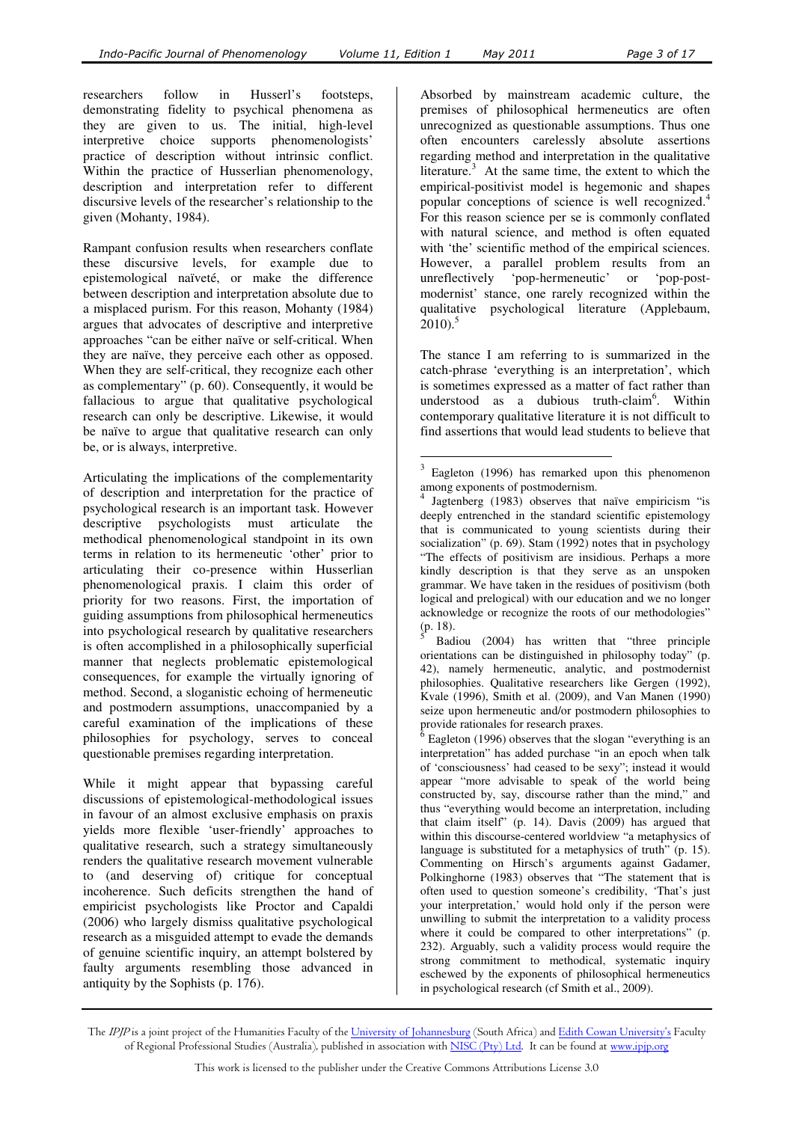researchers follow in Husserl's footsteps, demonstrating fidelity to psychical phenomena as they are given to us. The initial, high-level interpretive choice supports phenomenologists' practice of description without intrinsic conflict. Within the practice of Husserlian phenomenology, description and interpretation refer to different discursive levels of the researcher's relationship to the given (Mohanty, 1984).

Rampant confusion results when researchers conflate these discursive levels, for example due to epistemological naïveté, or make the difference between description and interpretation absolute due to a misplaced purism. For this reason, Mohanty (1984) argues that advocates of descriptive and interpretive approaches "can be either naïve or self-critical. When they are naïve, they perceive each other as opposed. When they are self-critical, they recognize each other as complementary" (p. 60). Consequently, it would be fallacious to argue that qualitative psychological research can only be descriptive. Likewise, it would be naïve to argue that qualitative research can only be, or is always, interpretive.

Articulating the implications of the complementarity of description and interpretation for the practice of psychological research is an important task. However descriptive psychologists must articulate the methodical phenomenological standpoint in its own terms in relation to its hermeneutic 'other' prior to articulating their co-presence within Husserlian phenomenological praxis. I claim this order of priority for two reasons. First, the importation of guiding assumptions from philosophical hermeneutics into psychological research by qualitative researchers is often accomplished in a philosophically superficial manner that neglects problematic epistemological consequences, for example the virtually ignoring of method. Second, a sloganistic echoing of hermeneutic and postmodern assumptions, unaccompanied by a careful examination of the implications of these philosophies for psychology, serves to conceal questionable premises regarding interpretation.

While it might appear that bypassing careful discussions of epistemological-methodological issues in favour of an almost exclusive emphasis on praxis yields more flexible 'user-friendly' approaches to qualitative research, such a strategy simultaneously renders the qualitative research movement vulnerable to (and deserving of) critique for conceptual incoherence. Such deficits strengthen the hand of empiricist psychologists like Proctor and Capaldi (2006) who largely dismiss qualitative psychological research as a misguided attempt to evade the demands of genuine scientific inquiry, an attempt bolstered by faulty arguments resembling those advanced in antiquity by the Sophists (p. 176).

Absorbed by mainstream academic culture, the premises of philosophical hermeneutics are often unrecognized as questionable assumptions. Thus one often encounters carelessly absolute assertions regarding method and interpretation in the qualitative literature.<sup>3</sup> At the same time, the extent to which the empirical-positivist model is hegemonic and shapes popular conceptions of science is well recognized.<sup>4</sup> For this reason science per se is commonly conflated with natural science, and method is often equated with 'the' scientific method of the empirical sciences. However, a parallel problem results from an unreflectively 'pop-hermeneutic' or 'pop-postmodernist' stance, one rarely recognized within the qualitative psychological literature (Applebaum,  $2010$ <sup>5</sup>

The stance I am referring to is summarized in the catch-phrase 'everything is an interpretation', which is sometimes expressed as a matter of fact rather than understood as a dubious truth-claim<sup>6</sup>. Within contemporary qualitative literature it is not difficult to find assertions that would lead students to believe that

Badiou (2004) has written that "three principle orientations can be distinguished in philosophy today" (p. 42), namely hermeneutic, analytic, and postmodernist philosophies. Qualitative researchers like Gergen (1992), Kvale (1996), Smith et al. (2009), and Van Manen (1990) seize upon hermeneutic and/or postmodern philosophies to provide rationales for research praxes.

 $\delta$  Eagleton (1996) observes that the slogan "everything is an interpretation" has added purchase "in an epoch when talk of 'consciousness' had ceased to be sexy"; instead it would appear "more advisable to speak of the world being constructed by, say, discourse rather than the mind," and thus "everything would become an interpretation, including that claim itself" (p. 14). Davis (2009) has argued that within this discourse-centered worldview "a metaphysics of language is substituted for a metaphysics of truth" (p. 15). Commenting on Hirsch's arguments against Gadamer, Polkinghorne (1983) observes that "The statement that is often used to question someone's credibility, 'That's just your interpretation,' would hold only if the person were unwilling to submit the interpretation to a validity process where it could be compared to other interpretations" (p. 232). Arguably, such a validity process would require the strong commitment to methodical, systematic inquiry eschewed by the exponents of philosophical hermeneutics in psychological research (cf Smith et al., 2009).

<sup>&</sup>lt;sup>2</sup><br>3 Eagleton (1996) has remarked upon this phenomenon among exponents of postmodernism.

<sup>4</sup> Jagtenberg (1983) observes that naïve empiricism "is deeply entrenched in the standard scientific epistemology that is communicated to young scientists during their socialization" (p. 69). Stam (1992) notes that in psychology "The effects of positivism are insidious. Perhaps a more kindly description is that they serve as an unspoken grammar. We have taken in the residues of positivism (both logical and prelogical) with our education and we no longer acknowledge or recognize the roots of our methodologies" (p. 18).<br>5 Pod:

The IPJP is a joint project of the Humanities Faculty of the University of Johannesburg (South Africa) and Edith Cowan University's Faculty of Regional Professional Studies (Australia), published in association with NISC (Pty) Ltd. It can be found at www.ipjp.org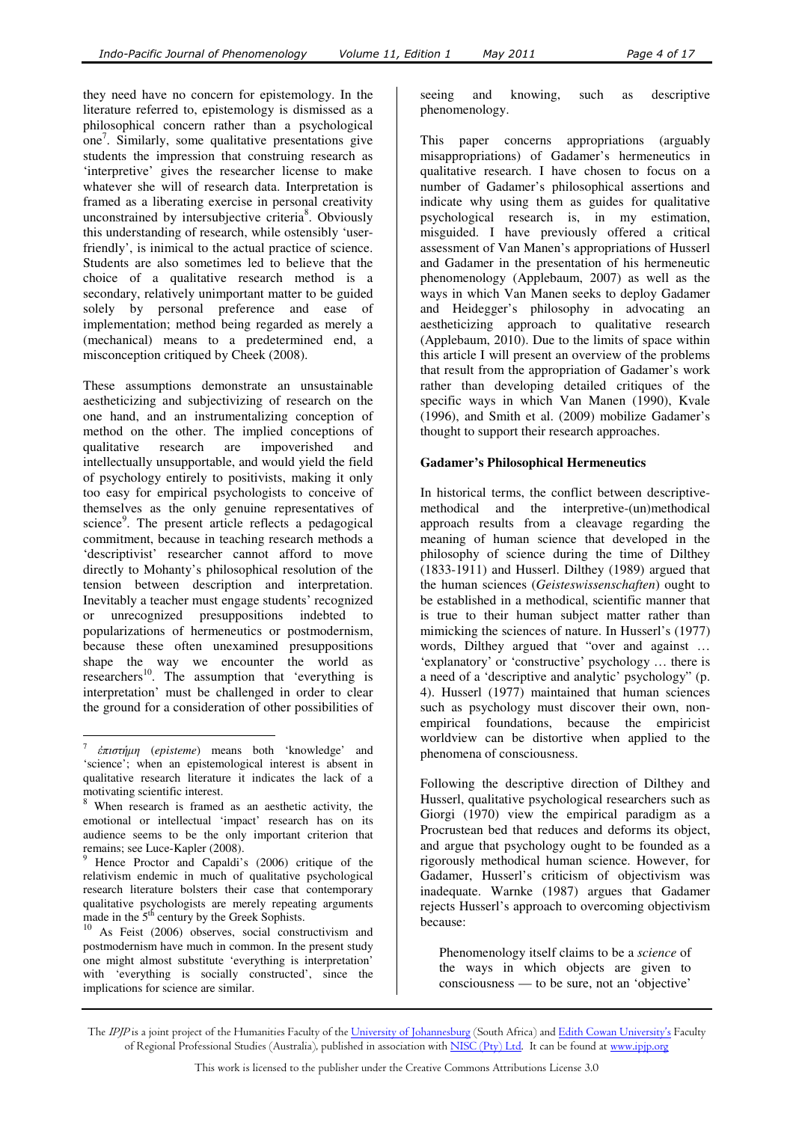they need have no concern for epistemology. In the literature referred to, epistemology is dismissed as a philosophical concern rather than a psychological one<sup>7</sup> . Similarly, some qualitative presentations give students the impression that construing research as 'interpretive' gives the researcher license to make whatever she will of research data. Interpretation is framed as a liberating exercise in personal creativity unconstrained by intersubjective criteria<sup>8</sup>. Obviously this understanding of research, while ostensibly 'userfriendly', is inimical to the actual practice of science. Students are also sometimes led to believe that the choice of a qualitative research method is a secondary, relatively unimportant matter to be guided solely by personal preference and ease of implementation; method being regarded as merely a (mechanical) means to a predetermined end, a misconception critiqued by Cheek (2008).

These assumptions demonstrate an unsustainable aestheticizing and subjectivizing of research on the one hand, and an instrumentalizing conception of method on the other. The implied conceptions of qualitative research are impoverished and intellectually unsupportable, and would yield the field of psychology entirely to positivists, making it only too easy for empirical psychologists to conceive of themselves as the only genuine representatives of science<sup>9</sup>. The present article reflects a pedagogical commitment, because in teaching research methods a 'descriptivist' researcher cannot afford to move directly to Mohanty's philosophical resolution of the tension between description and interpretation. Inevitably a teacher must engage students' recognized or unrecognized presuppositions indebted to popularizations of hermeneutics or postmodernism, because these often unexamined presuppositions shape the way we encounter the world as researchers<sup>10</sup>. The assumption that 'everything is interpretation' must be challenged in order to clear the ground for a consideration of other possibilities of

 $\overline{a}$ 

<sup>10</sup> As Feist (2006) observes, social constructivism and postmodernism have much in common. In the present study one might almost substitute 'everything is interpretation' with 'everything is socially constructed', since the implications for science are similar.

seeing and knowing, such as descriptive phenomenology.

This paper concerns appropriations (arguably misappropriations) of Gadamer's hermeneutics in qualitative research. I have chosen to focus on a number of Gadamer's philosophical assertions and indicate why using them as guides for qualitative psychological research is, in my estimation, misguided. I have previously offered a critical assessment of Van Manen's appropriations of Husserl and Gadamer in the presentation of his hermeneutic phenomenology (Applebaum, 2007) as well as the ways in which Van Manen seeks to deploy Gadamer and Heidegger's philosophy in advocating an aestheticizing approach to qualitative research (Applebaum, 2010). Due to the limits of space within this article I will present an overview of the problems that result from the appropriation of Gadamer's work rather than developing detailed critiques of the specific ways in which Van Manen (1990), Kvale (1996), and Smith et al. (2009) mobilize Gadamer's thought to support their research approaches.

## **Gadamer's Philosophical Hermeneutics**

In historical terms, the conflict between descriptivemethodical and the interpretive-(un)methodical approach results from a cleavage regarding the meaning of human science that developed in the philosophy of science during the time of Dilthey (1833-1911) and Husserl. Dilthey (1989) argued that the human sciences (*Geisteswissenschaften*) ought to be established in a methodical, scientific manner that is true to their human subject matter rather than mimicking the sciences of nature. In Husserl's (1977) words, Dilthey argued that "over and against … 'explanatory' or 'constructive' psychology … there is a need of a 'descriptive and analytic' psychology" (p. 4). Husserl (1977) maintained that human sciences such as psychology must discover their own, nonempirical foundations, because the empiricist worldview can be distortive when applied to the phenomena of consciousness.

Following the descriptive direction of Dilthey and Husserl, qualitative psychological researchers such as Giorgi (1970) view the empirical paradigm as a Procrustean bed that reduces and deforms its object, and argue that psychology ought to be founded as a rigorously methodical human science. However, for Gadamer, Husserl's criticism of objectivism was inadequate. Warnke (1987) argues that Gadamer rejects Husserl's approach to overcoming objectivism because:

Phenomenology itself claims to be a *science* of the ways in which objects are given to consciousness — to be sure, not an 'objective'

<sup>7</sup> *ἐπιστήµη* (*episteme*) means both 'knowledge' and 'science'; when an epistemological interest is absent in qualitative research literature it indicates the lack of a motivating scientific interest.

<sup>&</sup>lt;sup>8</sup> When research is framed as an aesthetic activity, the emotional or intellectual 'impact' research has on its audience seems to be the only important criterion that remains; see Luce-Kapler (2008).

<sup>9</sup> Hence Proctor and Capaldi's (2006) critique of the relativism endemic in much of qualitative psychological research literature bolsters their case that contemporary qualitative psychologists are merely repeating arguments made in the  $5<sup>th</sup>$  century by the Greek Sophists.

The IPJP is a joint project of the Humanities Faculty of the University of Johannesburg (South Africa) and Edith Cowan University's Faculty of Regional Professional Studies (Australia), published in association with NISC (Pty) Ltd. It can be found at www.ipjp.org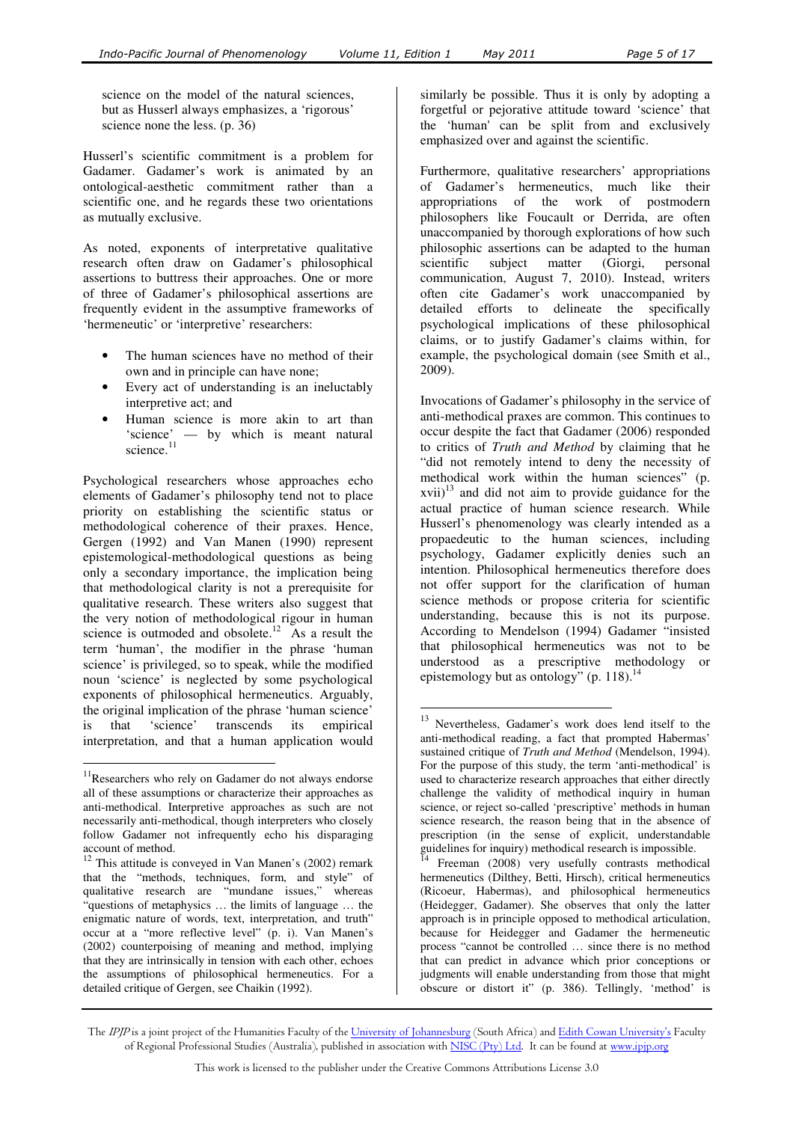science on the model of the natural sciences, but as Husserl always emphasizes, a 'rigorous' science none the less. (p. 36)

Husserl's scientific commitment is a problem for Gadamer. Gadamer's work is animated by an ontological-aesthetic commitment rather than a scientific one, and he regards these two orientations as mutually exclusive.

As noted, exponents of interpretative qualitative research often draw on Gadamer's philosophical assertions to buttress their approaches. One or more of three of Gadamer's philosophical assertions are frequently evident in the assumptive frameworks of 'hermeneutic' or 'interpretive' researchers:

- The human sciences have no method of their own and in principle can have none;
- Every act of understanding is an ineluctably interpretive act; and
- Human science is more akin to art than 'science' — by which is meant natural science.<sup>11</sup>

Psychological researchers whose approaches echo elements of Gadamer's philosophy tend not to place priority on establishing the scientific status or methodological coherence of their praxes. Hence, Gergen (1992) and Van Manen (1990) represent epistemological-methodological questions as being only a secondary importance, the implication being that methodological clarity is not a prerequisite for qualitative research. These writers also suggest that the very notion of methodological rigour in human science is outmoded and obsolete.<sup>12</sup> As a result the term 'human', the modifier in the phrase 'human science' is privileged, so to speak, while the modified noun 'science' is neglected by some psychological exponents of philosophical hermeneutics. Arguably, the original implication of the phrase 'human science' is that 'science' transcends its empirical interpretation, and that a human application would

 $\overline{a}$ 

similarly be possible. Thus it is only by adopting a forgetful or pejorative attitude toward 'science' that the 'human' can be split from and exclusively emphasized over and against the scientific.

Furthermore, qualitative researchers' appropriations of Gadamer's hermeneutics, much like their appropriations of the work of postmodern philosophers like Foucault or Derrida, are often unaccompanied by thorough explorations of how such philosophic assertions can be adapted to the human<br>scientific subject matter (Giorgi, personal scientific subject matter (Giorgi, personal communication, August 7, 2010). Instead, writers often cite Gadamer's work unaccompanied by detailed efforts to delineate the specifically psychological implications of these philosophical claims, or to justify Gadamer's claims within, for example, the psychological domain (see Smith et al., 2009).

Invocations of Gadamer's philosophy in the service of anti-methodical praxes are common. This continues to occur despite the fact that Gadamer (2006) responded to critics of *Truth and Method* by claiming that he "did not remotely intend to deny the necessity of methodical work within the human sciences" (p.  $xvii$ <sup>13</sup> and did not aim to provide guidance for the actual practice of human science research. While Husserl's phenomenology was clearly intended as a propaedeutic to the human sciences, including psychology, Gadamer explicitly denies such an intention. Philosophical hermeneutics therefore does not offer support for the clarification of human science methods or propose criteria for scientific understanding, because this is not its purpose. According to Mendelson (1994) Gadamer "insisted that philosophical hermeneutics was not to be understood as a prescriptive methodology or epistemology but as ontology" (p. 118). $^{14}$ 

 $11$ Researchers who rely on Gadamer do not always endorse all of these assumptions or characterize their approaches as anti-methodical. Interpretive approaches as such are not necessarily anti-methodical, though interpreters who closely follow Gadamer not infrequently echo his disparaging account of method.

 $12$  This attitude is conveyed in Van Manen's (2002) remark that the "methods, techniques, form, and style" of qualitative research are "mundane issues," whereas "questions of metaphysics … the limits of language … the enigmatic nature of words, text, interpretation, and truth" occur at a "more reflective level" (p. i). Van Manen's (2002) counterpoising of meaning and method, implying that they are intrinsically in tension with each other, echoes the assumptions of philosophical hermeneutics. For a detailed critique of Gergen, see Chaikin (1992).

<sup>13</sup> Nevertheless, Gadamer's work does lend itself to the anti-methodical reading, a fact that prompted Habermas' sustained critique of *Truth and Method* (Mendelson, 1994). For the purpose of this study, the term 'anti-methodical' is used to characterize research approaches that either directly challenge the validity of methodical inquiry in human science, or reject so-called 'prescriptive' methods in human science research, the reason being that in the absence of prescription (in the sense of explicit, understandable guidelines for inquiry) methodical research is impossible.

Freeman (2008) very usefully contrasts methodical hermeneutics (Dilthey, Betti, Hirsch), critical hermeneutics (Ricoeur, Habermas), and philosophical hermeneutics (Heidegger, Gadamer). She observes that only the latter approach is in principle opposed to methodical articulation, because for Heidegger and Gadamer the hermeneutic process "cannot be controlled … since there is no method that can predict in advance which prior conceptions or judgments will enable understanding from those that might obscure or distort it" (p. 386). Tellingly, 'method' is

The *IPJP* is a joint project of the Humanities Faculty of the <u>University of Johannesburg</u> (South Africa) and <u>Edith Cowan University's</u> Faculty of Regional Professional Studies (Australia), published in association with <u>NISC (Pty) Ltd</u>. It can be found at <u>www.ipjp.org</u>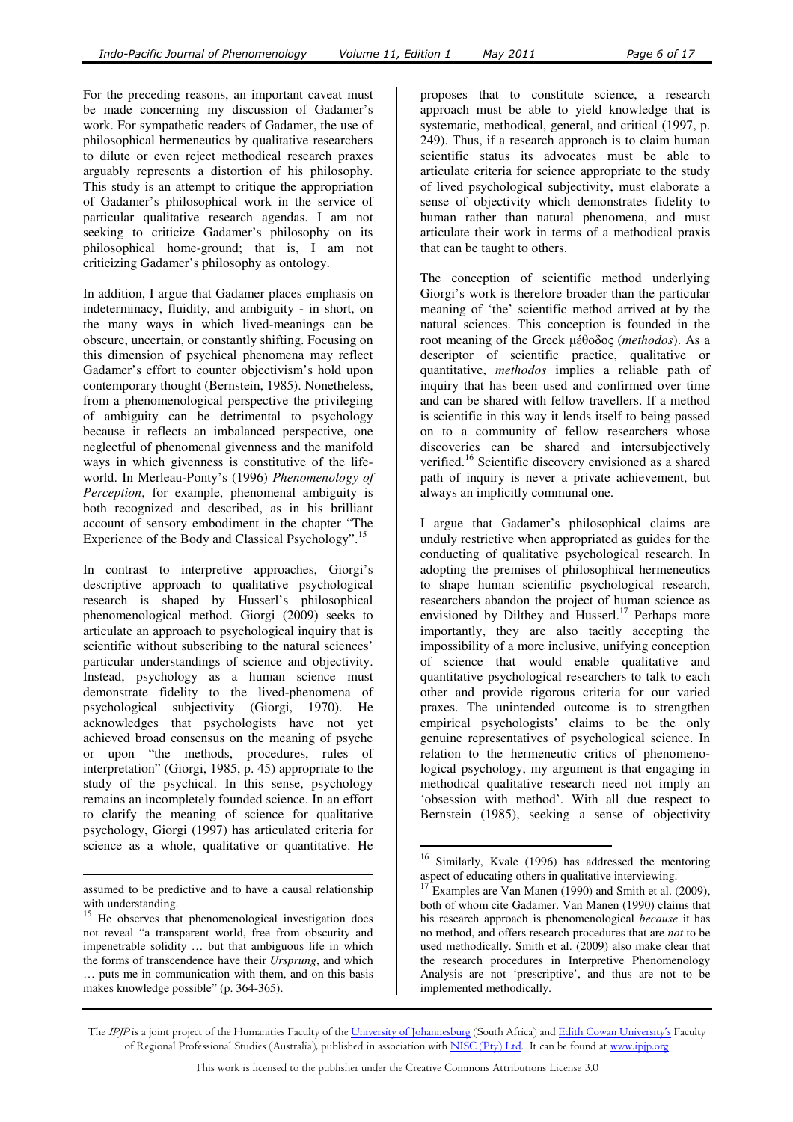For the preceding reasons, an important caveat must be made concerning my discussion of Gadamer's work. For sympathetic readers of Gadamer, the use of philosophical hermeneutics by qualitative researchers to dilute or even reject methodical research praxes arguably represents a distortion of his philosophy. This study is an attempt to critique the appropriation of Gadamer's philosophical work in the service of particular qualitative research agendas. I am not seeking to criticize Gadamer's philosophy on its philosophical home-ground; that is, I am not criticizing Gadamer's philosophy as ontology.

In addition, I argue that Gadamer places emphasis on indeterminacy, fluidity, and ambiguity - in short, on the many ways in which lived-meanings can be obscure, uncertain, or constantly shifting. Focusing on this dimension of psychical phenomena may reflect Gadamer's effort to counter objectivism's hold upon contemporary thought (Bernstein, 1985). Nonetheless, from a phenomenological perspective the privileging of ambiguity can be detrimental to psychology because it reflects an imbalanced perspective, one neglectful of phenomenal givenness and the manifold ways in which givenness is constitutive of the lifeworld. In Merleau-Ponty's (1996) *Phenomenology of Perception*, for example, phenomenal ambiguity is both recognized and described, as in his brilliant account of sensory embodiment in the chapter "The Experience of the Body and Classical Psychology".<sup>15</sup>

In contrast to interpretive approaches, Giorgi's descriptive approach to qualitative psychological research is shaped by Husserl's philosophical phenomenological method. Giorgi (2009) seeks to articulate an approach to psychological inquiry that is scientific without subscribing to the natural sciences' particular understandings of science and objectivity. Instead, psychology as a human science must demonstrate fidelity to the lived-phenomena of psychological subjectivity (Giorgi, 1970). He acknowledges that psychologists have not yet achieved broad consensus on the meaning of psyche or upon "the methods, procedures, rules of interpretation" (Giorgi, 1985, p. 45) appropriate to the study of the psychical. In this sense, psychology remains an incompletely founded science. In an effort to clarify the meaning of science for qualitative psychology, Giorgi (1997) has articulated criteria for science as a whole, qualitative or quantitative. He

 $\overline{a}$ 

proposes that to constitute science, a research approach must be able to yield knowledge that is systematic, methodical, general, and critical (1997, p. 249). Thus, if a research approach is to claim human scientific status its advocates must be able to articulate criteria for science appropriate to the study of lived psychological subjectivity, must elaborate a sense of objectivity which demonstrates fidelity to human rather than natural phenomena, and must articulate their work in terms of a methodical praxis that can be taught to others.

The conception of scientific method underlying Giorgi's work is therefore broader than the particular meaning of 'the' scientific method arrived at by the natural sciences. This conception is founded in the root meaning of the Greek µέθοδος (*methodos*). As a descriptor of scientific practice, qualitative or quantitative, *methodos* implies a reliable path of inquiry that has been used and confirmed over time and can be shared with fellow travellers. If a method is scientific in this way it lends itself to being passed on to a community of fellow researchers whose discoveries can be shared and intersubjectively verified.<sup>16</sup> Scientific discovery envisioned as a shared path of inquiry is never a private achievement, but always an implicitly communal one.

I argue that Gadamer's philosophical claims are unduly restrictive when appropriated as guides for the conducting of qualitative psychological research. In adopting the premises of philosophical hermeneutics to shape human scientific psychological research, researchers abandon the project of human science as envisioned by Dilthey and Husserl.<sup>17</sup> Perhaps more importantly, they are also tacitly accepting the impossibility of a more inclusive, unifying conception of science that would enable qualitative and quantitative psychological researchers to talk to each other and provide rigorous criteria for our varied praxes. The unintended outcome is to strengthen empirical psychologists' claims to be the only genuine representatives of psychological science. In relation to the hermeneutic critics of phenomenological psychology, my argument is that engaging in methodical qualitative research need not imply an 'obsession with method'. With all due respect to Bernstein (1985), seeking a sense of objectivity

assumed to be predictive and to have a causal relationship with understanding.

<sup>&</sup>lt;sup>15</sup> He observes that phenomenological investigation does not reveal "a transparent world, free from obscurity and impenetrable solidity … but that ambiguous life in which the forms of transcendence have their *Ursprung*, and which … puts me in communication with them, and on this basis makes knowledge possible" (p. 364-365).

 $16$  Similarly, Kvale (1996) has addressed the mentoring aspect of educating others in qualitative interviewing.<br> $\frac{17}{17}$  Examples  $\frac{17}{17}$  Examples

Examples are Van Manen (1990) and Smith et al. (2009), both of whom cite Gadamer. Van Manen (1990) claims that his research approach is phenomenological *because* it has no method, and offers research procedures that are *not* to be used methodically. Smith et al. (2009) also make clear that the research procedures in Interpretive Phenomenology Analysis are not 'prescriptive', and thus are not to be implemented methodically.

The IPJP is a joint project of the Humanities Faculty of the University of Johannesburg (South Africa) and Edith Cowan University's Faculty of Regional Professional Studies (Australia), published in association with NISC (Pty) Ltd. It can be found at www.ipjp.org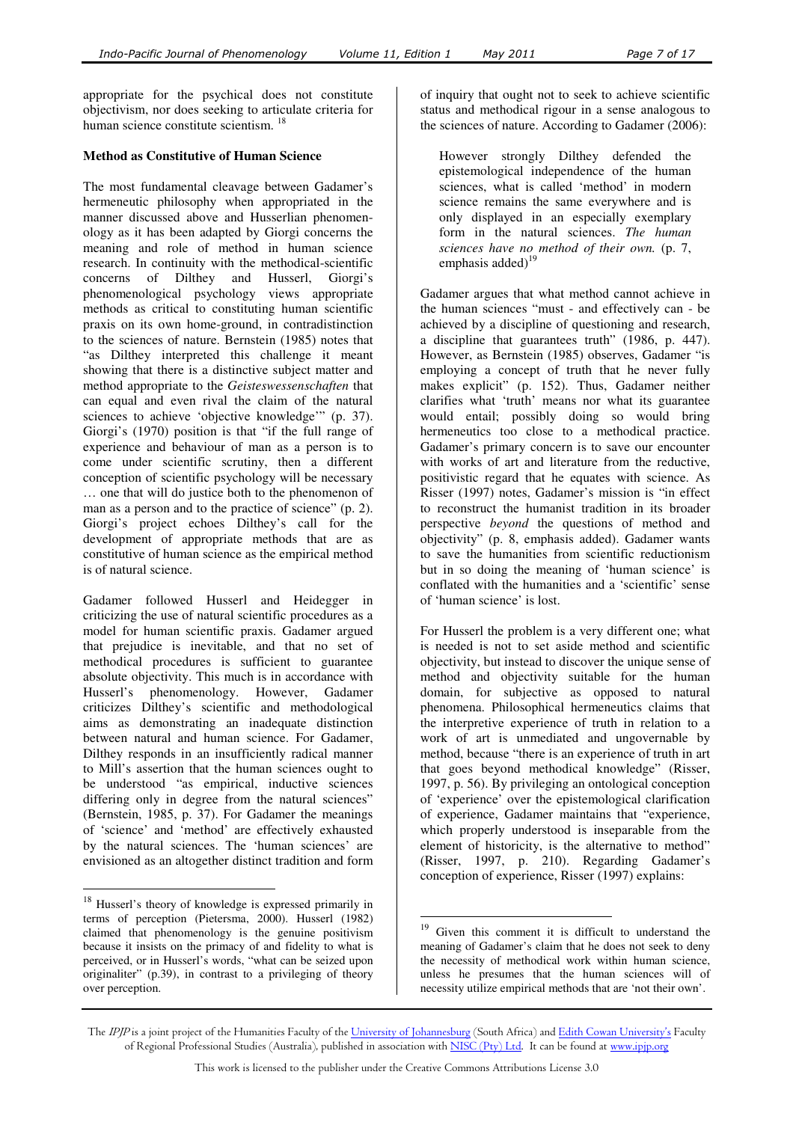appropriate for the psychical does not constitute objectivism, nor does seeking to articulate criteria for human science constitute scientism. <sup>18</sup>

## **Method as Constitutive of Human Science**

The most fundamental cleavage between Gadamer's hermeneutic philosophy when appropriated in the manner discussed above and Husserlian phenomenology as it has been adapted by Giorgi concerns the meaning and role of method in human science research. In continuity with the methodical-scientific concerns of Dilthey and Husserl, Giorgi's phenomenological psychology views appropriate methods as critical to constituting human scientific praxis on its own home-ground, in contradistinction to the sciences of nature. Bernstein (1985) notes that "as Dilthey interpreted this challenge it meant showing that there is a distinctive subject matter and method appropriate to the *Geisteswessenschaften* that can equal and even rival the claim of the natural sciences to achieve 'objective knowledge'" (p. 37). Giorgi's (1970) position is that "if the full range of experience and behaviour of man as a person is to come under scientific scrutiny, then a different conception of scientific psychology will be necessary … one that will do justice both to the phenomenon of man as a person and to the practice of science" (p. 2). Giorgi's project echoes Dilthey's call for the development of appropriate methods that are as constitutive of human science as the empirical method is of natural science.

Gadamer followed Husserl and Heidegger in criticizing the use of natural scientific procedures as a model for human scientific praxis. Gadamer argued that prejudice is inevitable, and that no set of methodical procedures is sufficient to guarantee absolute objectivity. This much is in accordance with Husserl's phenomenology. However, Gadamer criticizes Dilthey's scientific and methodological aims as demonstrating an inadequate distinction between natural and human science. For Gadamer, Dilthey responds in an insufficiently radical manner to Mill's assertion that the human sciences ought to be understood "as empirical, inductive sciences differing only in degree from the natural sciences" (Bernstein, 1985, p. 37). For Gadamer the meanings of 'science' and 'method' are effectively exhausted by the natural sciences. The 'human sciences' are envisioned as an altogether distinct tradition and form

 $\overline{a}$ 

of inquiry that ought not to seek to achieve scientific status and methodical rigour in a sense analogous to the sciences of nature. According to Gadamer (2006):

However strongly Dilthey defended the epistemological independence of the human sciences, what is called 'method' in modern science remains the same everywhere and is only displayed in an especially exemplary form in the natural sciences. *The human sciences have no method of their own.* (p. 7, emphasis added) $19$ 

Gadamer argues that what method cannot achieve in the human sciences "must - and effectively can - be achieved by a discipline of questioning and research, a discipline that guarantees truth" (1986, p. 447). However, as Bernstein (1985) observes, Gadamer "is employing a concept of truth that he never fully makes explicit" (p. 152). Thus, Gadamer neither clarifies what 'truth' means nor what its guarantee would entail; possibly doing so would bring hermeneutics too close to a methodical practice. Gadamer's primary concern is to save our encounter with works of art and literature from the reductive, positivistic regard that he equates with science. As Risser (1997) notes, Gadamer's mission is "in effect to reconstruct the humanist tradition in its broader perspective *beyond* the questions of method and objectivity" (p. 8, emphasis added). Gadamer wants to save the humanities from scientific reductionism but in so doing the meaning of 'human science' is conflated with the humanities and a 'scientific' sense of 'human science' is lost.

For Husserl the problem is a very different one; what is needed is not to set aside method and scientific objectivity, but instead to discover the unique sense of method and objectivity suitable for the human domain, for subjective as opposed to natural phenomena. Philosophical hermeneutics claims that the interpretive experience of truth in relation to a work of art is unmediated and ungovernable by method, because "there is an experience of truth in art that goes beyond methodical knowledge" (Risser, 1997, p. 56). By privileging an ontological conception of 'experience' over the epistemological clarification of experience, Gadamer maintains that "experience, which properly understood is inseparable from the element of historicity, is the alternative to method" (Risser, 1997, p. 210). Regarding Gadamer's conception of experience, Risser (1997) explains:

<sup>&</sup>lt;sup>18</sup> Husserl's theory of knowledge is expressed primarily in terms of perception (Pietersma, 2000). Husserl (1982) claimed that phenomenology is the genuine positivism because it insists on the primacy of and fidelity to what is perceived, or in Husserl's words, "what can be seized upon originaliter" (p.39), in contrast to a privileging of theory over perception.

 $19\,$ Given this comment it is difficult to understand the meaning of Gadamer's claim that he does not seek to deny the necessity of methodical work within human science, unless he presumes that the human sciences will of necessity utilize empirical methods that are 'not their own'.

The IPJP is a joint project of the Humanities Faculty of the University of Johannesburg (South Africa) and Edith Cowan University's Faculty of Regional Professional Studies (Australia), published in association with NISC (Pty) Ltd. It can be found at www.ipjp.org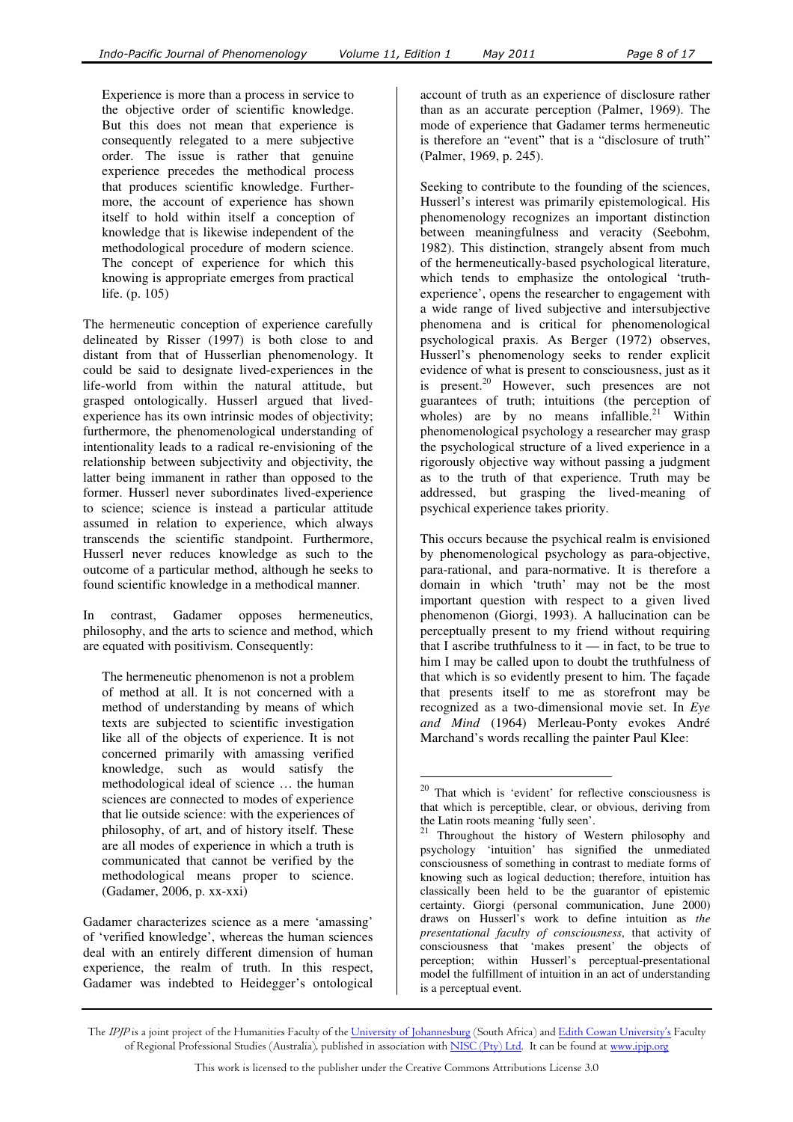Experience is more than a process in service to the objective order of scientific knowledge. But this does not mean that experience is consequently relegated to a mere subjective order. The issue is rather that genuine experience precedes the methodical process that produces scientific knowledge. Furthermore, the account of experience has shown itself to hold within itself a conception of knowledge that is likewise independent of the methodological procedure of modern science. The concept of experience for which this knowing is appropriate emerges from practical life. (p. 105)

The hermeneutic conception of experience carefully delineated by Risser (1997) is both close to and distant from that of Husserlian phenomenology. It could be said to designate lived-experiences in the life-world from within the natural attitude, but grasped ontologically. Husserl argued that livedexperience has its own intrinsic modes of objectivity; furthermore, the phenomenological understanding of intentionality leads to a radical re-envisioning of the relationship between subjectivity and objectivity, the latter being immanent in rather than opposed to the former. Husserl never subordinates lived-experience to science; science is instead a particular attitude assumed in relation to experience, which always transcends the scientific standpoint. Furthermore, Husserl never reduces knowledge as such to the outcome of a particular method, although he seeks to found scientific knowledge in a methodical manner.

In contrast, Gadamer opposes hermeneutics, philosophy, and the arts to science and method, which are equated with positivism. Consequently:

The hermeneutic phenomenon is not a problem of method at all. It is not concerned with a method of understanding by means of which texts are subjected to scientific investigation like all of the objects of experience. It is not concerned primarily with amassing verified knowledge, such as would satisfy the methodological ideal of science … the human sciences are connected to modes of experience that lie outside science: with the experiences of philosophy, of art, and of history itself. These are all modes of experience in which a truth is communicated that cannot be verified by the methodological means proper to science. (Gadamer, 2006, p. xx-xxi)

Gadamer characterizes science as a mere 'amassing' of 'verified knowledge', whereas the human sciences deal with an entirely different dimension of human experience, the realm of truth. In this respect, Gadamer was indebted to Heidegger's ontological

account of truth as an experience of disclosure rather than as an accurate perception (Palmer, 1969). The mode of experience that Gadamer terms hermeneutic is therefore an "event" that is a "disclosure of truth" (Palmer, 1969, p. 245).

Seeking to contribute to the founding of the sciences, Husserl's interest was primarily epistemological. His phenomenology recognizes an important distinction between meaningfulness and veracity (Seebohm, 1982). This distinction, strangely absent from much of the hermeneutically-based psychological literature, which tends to emphasize the ontological 'truthexperience', opens the researcher to engagement with a wide range of lived subjective and intersubjective phenomena and is critical for phenomenological psychological praxis. As Berger (1972) observes, Husserl's phenomenology seeks to render explicit evidence of what is present to consciousness, just as it is present.<sup>20</sup> However, such presences are not guarantees of truth; intuitions (the perception of wholes) are by no means infallible.<sup>21</sup> Within phenomenological psychology a researcher may grasp the psychological structure of a lived experience in a rigorously objective way without passing a judgment as to the truth of that experience. Truth may be addressed, but grasping the lived-meaning of psychical experience takes priority.

This occurs because the psychical realm is envisioned by phenomenological psychology as para-objective, para-rational, and para-normative. It is therefore a domain in which 'truth' may not be the most important question with respect to a given lived phenomenon (Giorgi, 1993). A hallucination can be perceptually present to my friend without requiring that I ascribe truthfulness to  $it - in$  fact, to be true to him I may be called upon to doubt the truthfulness of that which is so evidently present to him. The façade that presents itself to me as storefront may be recognized as a two-dimensional movie set. In *Eye and Mind* (1964) Merleau-Ponty evokes André Marchand's words recalling the painter Paul Klee:

 $20$  That which is 'evident' for reflective consciousness is that which is perceptible, clear, or obvious, deriving from the Latin roots meaning 'fully seen'.

<sup>&</sup>lt;sup>21</sup> Throughout the history of Western philosophy and psychology 'intuition' has signified the unmediated consciousness of something in contrast to mediate forms of knowing such as logical deduction; therefore, intuition has classically been held to be the guarantor of epistemic certainty. Giorgi (personal communication, June 2000) draws on Husserl's work to define intuition as *the presentational faculty of consciousness*, that activity of consciousness that 'makes present' the objects of perception; within Husserl's perceptual-presentational model the fulfillment of intuition in an act of understanding is a perceptual event.

The IPJP is a joint project of the Humanities Faculty of the University of Johannesburg (South Africa) and Edith Cowan University's Faculty of Regional Professional Studies (Australia), published in association with NISC (Pty) Ltd. It can be found at www.ipjp.org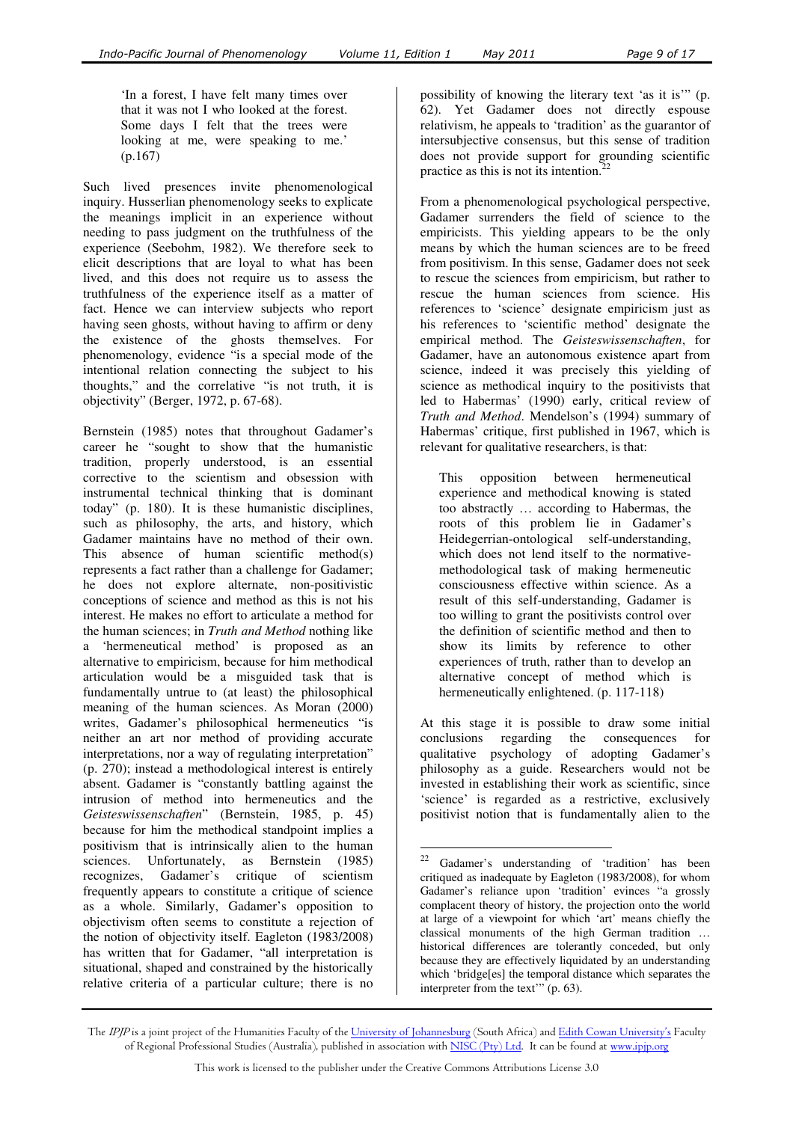'In a forest, I have felt many times over that it was not I who looked at the forest. Some days I felt that the trees were looking at me, were speaking to me.' (p.167)

Such lived presences invite phenomenological inquiry. Husserlian phenomenology seeks to explicate the meanings implicit in an experience without needing to pass judgment on the truthfulness of the experience (Seebohm, 1982). We therefore seek to elicit descriptions that are loyal to what has been lived, and this does not require us to assess the truthfulness of the experience itself as a matter of fact. Hence we can interview subjects who report having seen ghosts, without having to affirm or deny the existence of the ghosts themselves. For phenomenology, evidence "is a special mode of the intentional relation connecting the subject to his thoughts," and the correlative "is not truth, it is objectivity" (Berger, 1972, p. 67-68).

Bernstein (1985) notes that throughout Gadamer's career he "sought to show that the humanistic tradition, properly understood, is an essential corrective to the scientism and obsession with instrumental technical thinking that is dominant today" (p. 180). It is these humanistic disciplines, such as philosophy, the arts, and history, which Gadamer maintains have no method of their own. This absence of human scientific method(s) represents a fact rather than a challenge for Gadamer; he does not explore alternate, non-positivistic conceptions of science and method as this is not his interest. He makes no effort to articulate a method for the human sciences; in *Truth and Method* nothing like a 'hermeneutical method' is proposed as an alternative to empiricism, because for him methodical articulation would be a misguided task that is fundamentally untrue to (at least) the philosophical meaning of the human sciences. As Moran (2000) writes, Gadamer's philosophical hermeneutics "is neither an art nor method of providing accurate interpretations, nor a way of regulating interpretation" (p. 270); instead a methodological interest is entirely absent. Gadamer is "constantly battling against the intrusion of method into hermeneutics and the *Geisteswissenschaften*" (Bernstein, 1985, p. 45) because for him the methodical standpoint implies a positivism that is intrinsically alien to the human sciences. Unfortunately, as Bernstein (1985) recognizes, Gadamer's critique of scientism frequently appears to constitute a critique of science as a whole. Similarly, Gadamer's opposition to objectivism often seems to constitute a rejection of the notion of objectivity itself. Eagleton (1983/2008) has written that for Gadamer, "all interpretation is situational, shaped and constrained by the historically relative criteria of a particular culture; there is no

possibility of knowing the literary text 'as it is'" (p. 62). Yet Gadamer does not directly espouse relativism, he appeals to 'tradition' as the guarantor of intersubjective consensus, but this sense of tradition does not provide support for grounding scientific practice as this is not its intention. $\frac{2}{3}$ 

From a phenomenological psychological perspective, Gadamer surrenders the field of science to the empiricists. This yielding appears to be the only means by which the human sciences are to be freed from positivism. In this sense, Gadamer does not seek to rescue the sciences from empiricism, but rather to rescue the human sciences from science. His references to 'science' designate empiricism just as his references to 'scientific method' designate the empirical method. The *Geisteswissenschaften*, for Gadamer, have an autonomous existence apart from science, indeed it was precisely this yielding of science as methodical inquiry to the positivists that led to Habermas' (1990) early, critical review of *Truth and Method*. Mendelson's (1994) summary of Habermas' critique, first published in 1967, which is relevant for qualitative researchers, is that:

This opposition between hermeneutical experience and methodical knowing is stated too abstractly … according to Habermas, the roots of this problem lie in Gadamer's Heidegerrian-ontological self-understanding, which does not lend itself to the normativemethodological task of making hermeneutic consciousness effective within science. As a result of this self-understanding, Gadamer is too willing to grant the positivists control over the definition of scientific method and then to show its limits by reference to other experiences of truth, rather than to develop an alternative concept of method which is hermeneutically enlightened. (p. 117-118)

At this stage it is possible to draw some initial conclusions regarding the consequences for qualitative psychology of adopting Gadamer's philosophy as a guide. Researchers would not be invested in establishing their work as scientific, since 'science' is regarded as a restrictive, exclusively positivist notion that is fundamentally alien to the

<sup>22</sup> Gadamer's understanding of 'tradition' has been critiqued as inadequate by Eagleton (1983/2008), for whom Gadamer's reliance upon 'tradition' evinces "a grossly complacent theory of history, the projection onto the world at large of a viewpoint for which 'art' means chiefly the classical monuments of the high German tradition … historical differences are tolerantly conceded, but only because they are effectively liquidated by an understanding which 'bridge[es] the temporal distance which separates the interpreter from the text'" (p. 63).

The IPJP is a joint project of the Humanities Faculty of the University of Johannesburg (South Africa) and Edith Cowan University's Faculty of Regional Professional Studies (Australia), published in association with NISC (Pty) Ltd. It can be found at www.ipjp.org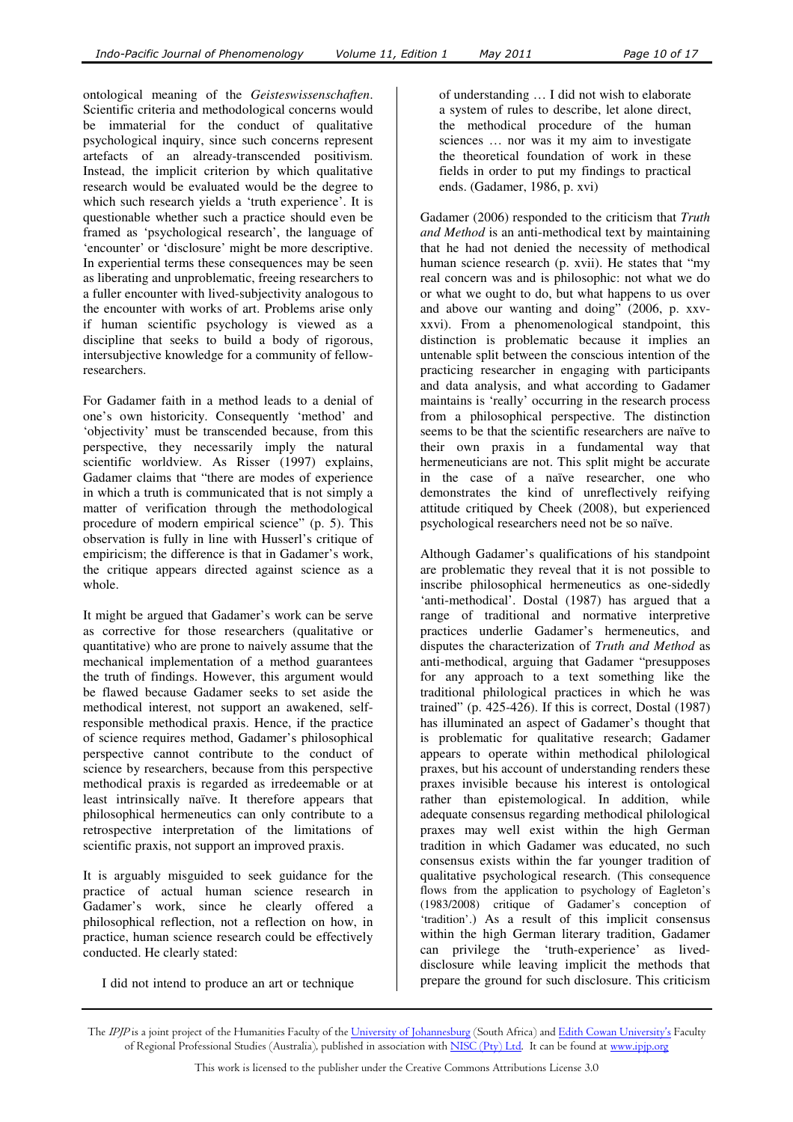ontological meaning of the *Geisteswissenschaften*. Scientific criteria and methodological concerns would be immaterial for the conduct of qualitative psychological inquiry, since such concerns represent artefacts of an already-transcended positivism. Instead, the implicit criterion by which qualitative research would be evaluated would be the degree to which such research yields a 'truth experience'. It is questionable whether such a practice should even be framed as 'psychological research', the language of 'encounter' or 'disclosure' might be more descriptive. In experiential terms these consequences may be seen as liberating and unproblematic, freeing researchers to a fuller encounter with lived-subjectivity analogous to the encounter with works of art. Problems arise only if human scientific psychology is viewed as a discipline that seeks to build a body of rigorous, intersubjective knowledge for a community of fellowresearchers.

For Gadamer faith in a method leads to a denial of one's own historicity. Consequently 'method' and 'objectivity' must be transcended because, from this perspective, they necessarily imply the natural scientific worldview. As Risser (1997) explains, Gadamer claims that "there are modes of experience in which a truth is communicated that is not simply a matter of verification through the methodological procedure of modern empirical science" (p. 5). This observation is fully in line with Husserl's critique of empiricism; the difference is that in Gadamer's work, the critique appears directed against science as a whole.

It might be argued that Gadamer's work can be serve as corrective for those researchers (qualitative or quantitative) who are prone to naively assume that the mechanical implementation of a method guarantees the truth of findings. However, this argument would be flawed because Gadamer seeks to set aside the methodical interest, not support an awakened, selfresponsible methodical praxis. Hence, if the practice of science requires method, Gadamer's philosophical perspective cannot contribute to the conduct of science by researchers, because from this perspective methodical praxis is regarded as irredeemable or at least intrinsically naïve. It therefore appears that philosophical hermeneutics can only contribute to a retrospective interpretation of the limitations of scientific praxis, not support an improved praxis.

It is arguably misguided to seek guidance for the practice of actual human science research in Gadamer's work, since he clearly offered a philosophical reflection, not a reflection on how, in practice, human science research could be effectively conducted. He clearly stated:

of understanding … I did not wish to elaborate a system of rules to describe, let alone direct, the methodical procedure of the human sciences … nor was it my aim to investigate the theoretical foundation of work in these fields in order to put my findings to practical ends. (Gadamer, 1986, p. xvi)

Gadamer (2006) responded to the criticism that *Truth and Method* is an anti-methodical text by maintaining that he had not denied the necessity of methodical human science research (p. xvii). He states that "my real concern was and is philosophic: not what we do or what we ought to do, but what happens to us over and above our wanting and doing" (2006, p. xxvxxvi). From a phenomenological standpoint, this distinction is problematic because it implies an untenable split between the conscious intention of the practicing researcher in engaging with participants and data analysis, and what according to Gadamer maintains is 'really' occurring in the research process from a philosophical perspective. The distinction seems to be that the scientific researchers are naïve to their own praxis in a fundamental way that hermeneuticians are not. This split might be accurate in the case of a naïve researcher, one who demonstrates the kind of unreflectively reifying attitude critiqued by Cheek (2008), but experienced psychological researchers need not be so naïve.

Although Gadamer's qualifications of his standpoint are problematic they reveal that it is not possible to inscribe philosophical hermeneutics as one-sidedly 'anti-methodical'. Dostal (1987) has argued that a range of traditional and normative interpretive practices underlie Gadamer's hermeneutics, and disputes the characterization of *Truth and Method* as anti-methodical, arguing that Gadamer "presupposes for any approach to a text something like the traditional philological practices in which he was trained" (p.  $425-426$ ). If this is correct, Dostal (1987) has illuminated an aspect of Gadamer's thought that is problematic for qualitative research; Gadamer appears to operate within methodical philological praxes, but his account of understanding renders these praxes invisible because his interest is ontological rather than epistemological. In addition, while adequate consensus regarding methodical philological praxes may well exist within the high German tradition in which Gadamer was educated, no such consensus exists within the far younger tradition of qualitative psychological research. (This consequence flows from the application to psychology of Eagleton's (1983/2008) critique of Gadamer's conception of 'tradition'.) As a result of this implicit consensus within the high German literary tradition, Gadamer can privilege the 'truth-experience' as liveddisclosure while leaving implicit the methods that prepare the ground for such disclosure. This criticism

I did not intend to produce an art or technique

The IPJP is a joint project of the Humanities Faculty of the University of Johannesburg (South Africa) and Edith Cowan University's Faculty of Regional Professional Studies (Australia), published in association with NISC (Pty) Ltd. It can be found at www.ipjp.org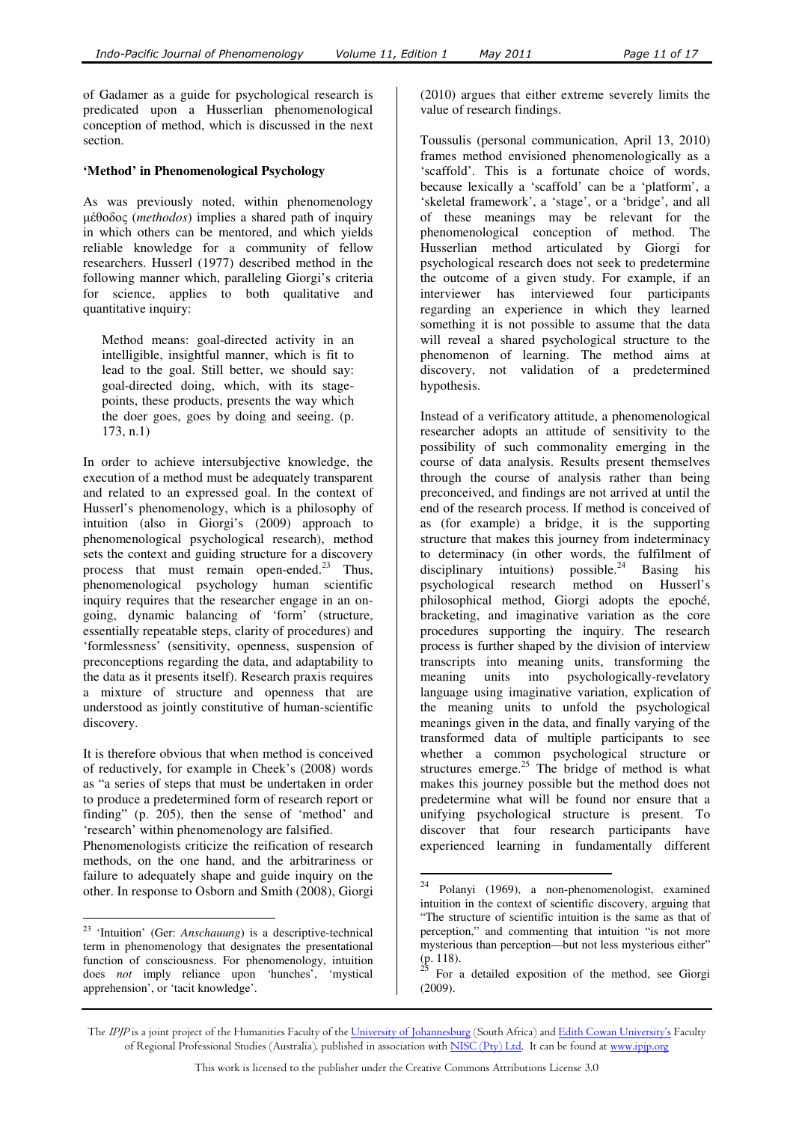of Gadamer as a guide for psychological research is predicated upon a Husserlian phenomenological conception of method, which is discussed in the next section.

#### **'Method' in Phenomenological Psychology**

As was previously noted, within phenomenology µέθοδος (*methodos*) implies a shared path of inquiry in which others can be mentored, and which yields reliable knowledge for a community of fellow researchers. Husserl (1977) described method in the following manner which, paralleling Giorgi's criteria for science, applies to both qualitative and quantitative inquiry:

Method means: goal-directed activity in an intelligible, insightful manner, which is fit to lead to the goal. Still better, we should say: goal-directed doing, which, with its stagepoints, these products, presents the way which the doer goes, goes by doing and seeing. (p. 173, n.1)

In order to achieve intersubjective knowledge, the execution of a method must be adequately transparent and related to an expressed goal. In the context of Husserl's phenomenology, which is a philosophy of intuition (also in Giorgi's (2009) approach to phenomenological psychological research), method sets the context and guiding structure for a discovery process that must remain open-ended.<sup>23</sup> Thus, phenomenological psychology human scientific inquiry requires that the researcher engage in an ongoing, dynamic balancing of 'form' (structure, essentially repeatable steps, clarity of procedures) and 'formlessness' (sensitivity, openness, suspension of preconceptions regarding the data, and adaptability to the data as it presents itself). Research praxis requires a mixture of structure and openness that are understood as jointly constitutive of human-scientific discovery.

It is therefore obvious that when method is conceived of reductively, for example in Cheek's (2008) words as "a series of steps that must be undertaken in order to produce a predetermined form of research report or finding" (p. 205), then the sense of 'method' and 'research' within phenomenology are falsified.

Phenomenologists criticize the reification of research methods, on the one hand, and the arbitrariness or failure to adequately shape and guide inquiry on the other. In response to Osborn and Smith (2008), Giorgi

 $\overline{a}$ 

(2010) argues that either extreme severely limits the value of research findings.

Toussulis (personal communication, April 13, 2010) frames method envisioned phenomenologically as a 'scaffold'. This is a fortunate choice of words, because lexically a 'scaffold' can be a 'platform', a 'skeletal framework', a 'stage', or a 'bridge', and all of these meanings may be relevant for the phenomenological conception of method. The Husserlian method articulated by Giorgi for psychological research does not seek to predetermine the outcome of a given study. For example, if an interviewer has interviewed four participants regarding an experience in which they learned something it is not possible to assume that the data will reveal a shared psychological structure to the phenomenon of learning. The method aims at discovery, not validation of a predetermined hypothesis.

Instead of a verificatory attitude, a phenomenological researcher adopts an attitude of sensitivity to the possibility of such commonality emerging in the course of data analysis. Results present themselves through the course of analysis rather than being preconceived, and findings are not arrived at until the end of the research process. If method is conceived of as (for example) a bridge, it is the supporting structure that makes this journey from indeterminacy to determinacy (in other words, the fulfilment of disciplinary intuitions) possible.<sup>24</sup> Basing his psychological research method on Husserl's philosophical method, Giorgi adopts the epoché, bracketing, and imaginative variation as the core procedures supporting the inquiry. The research process is further shaped by the division of interview transcripts into meaning units, transforming the meaning units into psychologically-revelatory language using imaginative variation, explication of the meaning units to unfold the psychological meanings given in the data, and finally varying of the transformed data of multiple participants to see whether a common psychological structure or structures emerge. $^{25}$  The bridge of method is what makes this journey possible but the method does not predetermine what will be found nor ensure that a unifying psychological structure is present. To discover that four research participants have experienced learning in fundamentally different

<sup>23</sup> 'Intuition' (Ger: *Anschauung*) is a descriptive-technical term in phenomenology that designates the presentational function of consciousness. For phenomenology, intuition does *not* imply reliance upon 'hunches', 'mystical apprehension', or 'tacit knowledge'.

<sup>24</sup> Polanyi (1969), a non-phenomenologist, examined intuition in the context of scientific discovery, arguing that "The structure of scientific intuition is the same as that of perception," and commenting that intuition "is not more mysterious than perception—but not less mysterious either"  $(p. 118).$ 

<sup>25</sup> For a detailed exposition of the method, see Giorgi (2009).

The IPJP is a joint project of the Humanities Faculty of the University of Johannesburg (South Africa) and Edith Cowan University's Faculty of Regional Professional Studies (Australia), published in association with NISC (Pty) Ltd. It can be found at www.ipjp.org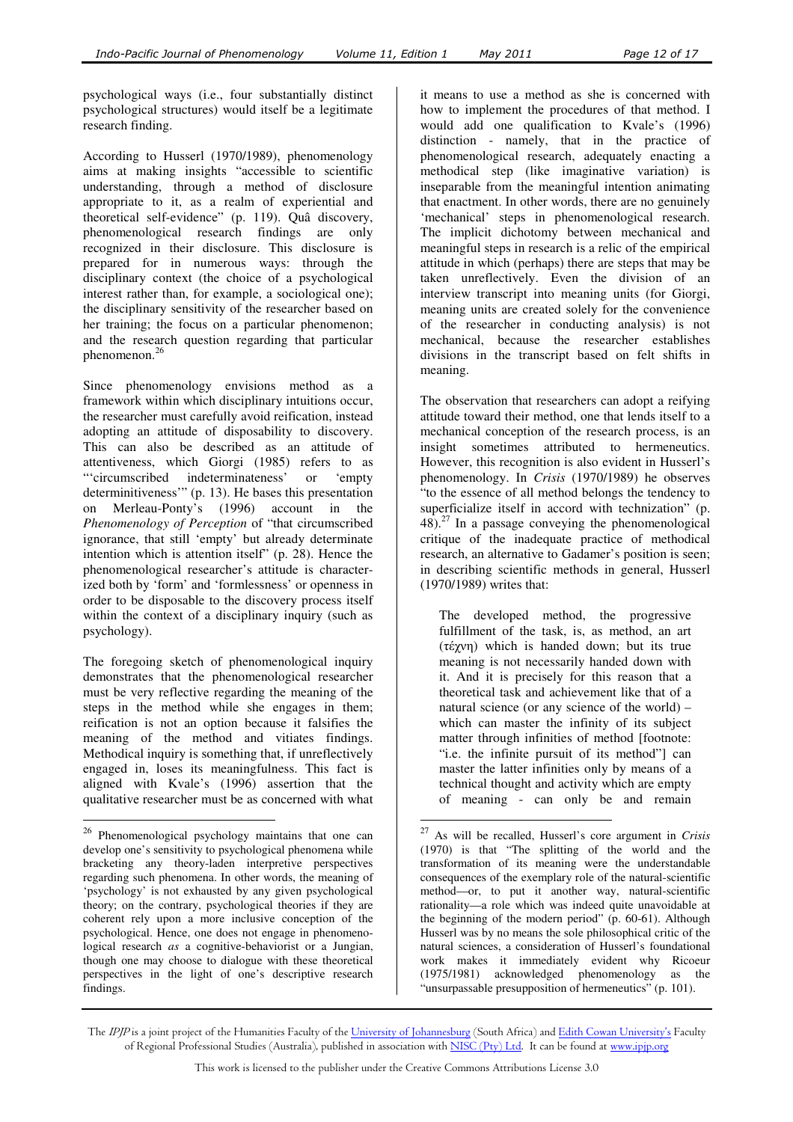psychological ways (i.e., four substantially distinct psychological structures) would itself be a legitimate research finding.

According to Husserl (1970/1989), phenomenology aims at making insights "accessible to scientific understanding, through a method of disclosure appropriate to it, as a realm of experiential and theoretical self-evidence" (p. 119). Quâ discovery, phenomenological research findings are only recognized in their disclosure. This disclosure is prepared for in numerous ways: through the disciplinary context (the choice of a psychological interest rather than, for example, a sociological one); the disciplinary sensitivity of the researcher based on her training; the focus on a particular phenomenon; and the research question regarding that particular phenomenon.<sup>26</sup>

Since phenomenology envisions method as a framework within which disciplinary intuitions occur, the researcher must carefully avoid reification, instead adopting an attitude of disposability to discovery. This can also be described as an attitude of attentiveness, which Giorgi (1985) refers to as "'circumscribed indeterminateness' or 'empty determinitiveness'" (p. 13). He bases this presentation on Merleau-Ponty's (1996) account in the *Phenomenology of Perception* of "that circumscribed ignorance, that still 'empty' but already determinate intention which is attention itself" (p. 28). Hence the phenomenological researcher's attitude is characterized both by 'form' and 'formlessness' or openness in order to be disposable to the discovery process itself within the context of a disciplinary inquiry (such as psychology).

The foregoing sketch of phenomenological inquiry demonstrates that the phenomenological researcher must be very reflective regarding the meaning of the steps in the method while she engages in them; reification is not an option because it falsifies the meaning of the method and vitiates findings. Methodical inquiry is something that, if unreflectively engaged in, loses its meaningfulness. This fact is aligned with Kvale's (1996) assertion that the qualitative researcher must be as concerned with what

 $\overline{a}$ 

it means to use a method as she is concerned with how to implement the procedures of that method. I would add one qualification to Kvale's (1996) distinction - namely, that in the practice of phenomenological research, adequately enacting a methodical step (like imaginative variation) is inseparable from the meaningful intention animating that enactment. In other words, there are no genuinely 'mechanical' steps in phenomenological research. The implicit dichotomy between mechanical and meaningful steps in research is a relic of the empirical attitude in which (perhaps) there are steps that may be taken unreflectively. Even the division of an interview transcript into meaning units (for Giorgi, meaning units are created solely for the convenience of the researcher in conducting analysis) is not mechanical, because the researcher establishes divisions in the transcript based on felt shifts in meaning.

The observation that researchers can adopt a reifying attitude toward their method, one that lends itself to a mechanical conception of the research process, is an insight sometimes attributed to hermeneutics. However, this recognition is also evident in Husserl's phenomenology. In *Crisis* (1970/1989) he observes "to the essence of all method belongs the tendency to superficialize itself in accord with technization" (p.  $48$ ).<sup>27</sup> In a passage conveying the phenomenological critique of the inadequate practice of methodical research, an alternative to Gadamer's position is seen; in describing scientific methods in general, Husserl (1970/1989) writes that:

The developed method, the progressive fulfillment of the task, is, as method, an art (τέχνη) which is handed down; but its true meaning is not necessarily handed down with it. And it is precisely for this reason that a theoretical task and achievement like that of a natural science (or any science of the world) – which can master the infinity of its subject matter through infinities of method [footnote: "i.e. the infinite pursuit of its method"] can master the latter infinities only by means of a technical thought and activity which are empty of meaning - can only be and remain

<sup>&</sup>lt;sup>26</sup> Phenomenological psychology maintains that one can develop one's sensitivity to psychological phenomena while bracketing any theory-laden interpretive perspectives regarding such phenomena. In other words, the meaning of 'psychology' is not exhausted by any given psychological theory; on the contrary, psychological theories if they are coherent rely upon a more inclusive conception of the psychological. Hence, one does not engage in phenomenological research *as* a cognitive-behaviorist or a Jungian, though one may choose to dialogue with these theoretical perspectives in the light of one's descriptive research findings.

 $\overline{a}$ <sup>27</sup> As will be recalled, Husserl's core argument in *Crisis* (1970) is that "The splitting of the world and the transformation of its meaning were the understandable consequences of the exemplary role of the natural-scientific method—or, to put it another way, natural-scientific rationality—a role which was indeed quite unavoidable at the beginning of the modern period" (p. 60-61). Although Husserl was by no means the sole philosophical critic of the natural sciences, a consideration of Husserl's foundational work makes it immediately evident why Ricoeur (1975/1981) acknowledged phenomenology as the "unsurpassable presupposition of hermeneutics" (p. 101).

The IPJP is a joint project of the Humanities Faculty of the University of Johannesburg (South Africa) and Edith Cowan University's Faculty of Regional Professional Studies (Australia), published in association with NISC (Pty) Ltd. It can be found at www.ipjp.org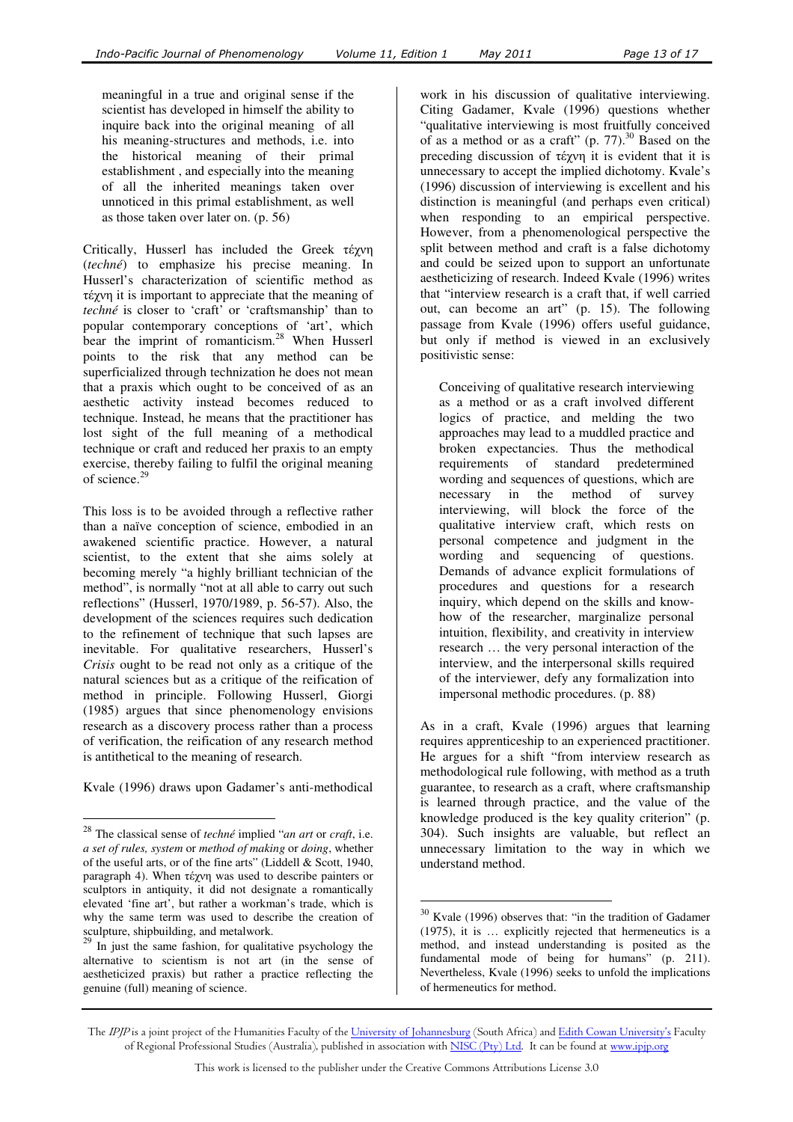meaningful in a true and original sense if the scientist has developed in himself the ability to inquire back into the original meaning of all his meaning-structures and methods, i.e. into the historical meaning of their primal establishment , and especially into the meaning of all the inherited meanings taken over unnoticed in this primal establishment, as well as those taken over later on. (p. 56)

Critically, Husserl has included the Greek τέχνη (*techné*) to emphasize his precise meaning. In Husserl's characterization of scientific method as τέχνη it is important to appreciate that the meaning of *techné* is closer to 'craft' or 'craftsmanship' than to popular contemporary conceptions of 'art', which bear the imprint of romanticism.<sup>28</sup> When Husserl points to the risk that any method can be superficialized through technization he does not mean that a praxis which ought to be conceived of as an aesthetic activity instead becomes reduced to technique. Instead, he means that the practitioner has lost sight of the full meaning of a methodical technique or craft and reduced her praxis to an empty exercise, thereby failing to fulfil the original meaning of science.<sup>29</sup>

This loss is to be avoided through a reflective rather than a naïve conception of science, embodied in an awakened scientific practice. However, a natural scientist, to the extent that she aims solely at becoming merely "a highly brilliant technician of the method", is normally "not at all able to carry out such reflections" (Husserl, 1970/1989, p. 56-57). Also, the development of the sciences requires such dedication to the refinement of technique that such lapses are inevitable. For qualitative researchers, Husserl's *Crisis* ought to be read not only as a critique of the natural sciences but as a critique of the reification of method in principle. Following Husserl, Giorgi (1985) argues that since phenomenology envisions research as a discovery process rather than a process of verification, the reification of any research method is antithetical to the meaning of research.

Kvale (1996) draws upon Gadamer's anti-methodical

 $\overline{a}$ 

work in his discussion of qualitative interviewing. Citing Gadamer, Kvale (1996) questions whether "qualitative interviewing is most fruitfully conceived of as a method or as a craft"  $(p. 77)$ .<sup>30</sup> Based on the preceding discussion of τέχνη it is evident that it is unnecessary to accept the implied dichotomy. Kvale's (1996) discussion of interviewing is excellent and his distinction is meaningful (and perhaps even critical) when responding to an empirical perspective. However, from a phenomenological perspective the split between method and craft is a false dichotomy and could be seized upon to support an unfortunate aestheticizing of research. Indeed Kvale (1996) writes that "interview research is a craft that, if well carried out, can become an art" (p. 15). The following passage from Kvale (1996) offers useful guidance, but only if method is viewed in an exclusively positivistic sense:

Conceiving of qualitative research interviewing as a method or as a craft involved different logics of practice, and melding the two approaches may lead to a muddled practice and broken expectancies. Thus the methodical requirements of standard predetermined wording and sequences of questions, which are necessary in the method of survey interviewing, will block the force of the qualitative interview craft, which rests on personal competence and judgment in the wording and sequencing of questions. Demands of advance explicit formulations of procedures and questions for a research inquiry, which depend on the skills and knowhow of the researcher, marginalize personal intuition, flexibility, and creativity in interview research … the very personal interaction of the interview, and the interpersonal skills required of the interviewer, defy any formalization into impersonal methodic procedures. (p. 88)

As in a craft, Kvale (1996) argues that learning requires apprenticeship to an experienced practitioner. He argues for a shift "from interview research as methodological rule following, with method as a truth guarantee, to research as a craft, where craftsmanship is learned through practice, and the value of the knowledge produced is the key quality criterion" (p. 304). Such insights are valuable, but reflect an unnecessary limitation to the way in which we understand method.

<sup>28</sup> The classical sense of *techné* implied "*an art* or *craft*, i.e. *a set of rules, system* or *method of making* or *doing*, whether of the useful arts, or of the fine arts" (Liddell & Scott, 1940, paragraph 4). When τέχνη was used to describe painters or sculptors in antiquity, it did not designate a romantically elevated 'fine art', but rather a workman's trade, which is why the same term was used to describe the creation of sculpture, shipbuilding, and metalwork.

<sup>&</sup>lt;sup>29</sup> In just the same fashion, for qualitative psychology the alternative to scientism is not art (in the sense of aestheticized praxis) but rather a practice reflecting the genuine (full) meaning of science.

<sup>30</sup> Kvale (1996) observes that: "in the tradition of Gadamer (1975), it is … explicitly rejected that hermeneutics is a method, and instead understanding is posited as the fundamental mode of being for humans" (p. 211). Nevertheless, Kvale (1996) seeks to unfold the implications of hermeneutics for method.

The IPJP is a joint project of the Humanities Faculty of the University of Johannesburg (South Africa) and Edith Cowan University's Faculty of Regional Professional Studies (Australia), published in association with NISC (Pty) Ltd. It can be found at www.ipjp.org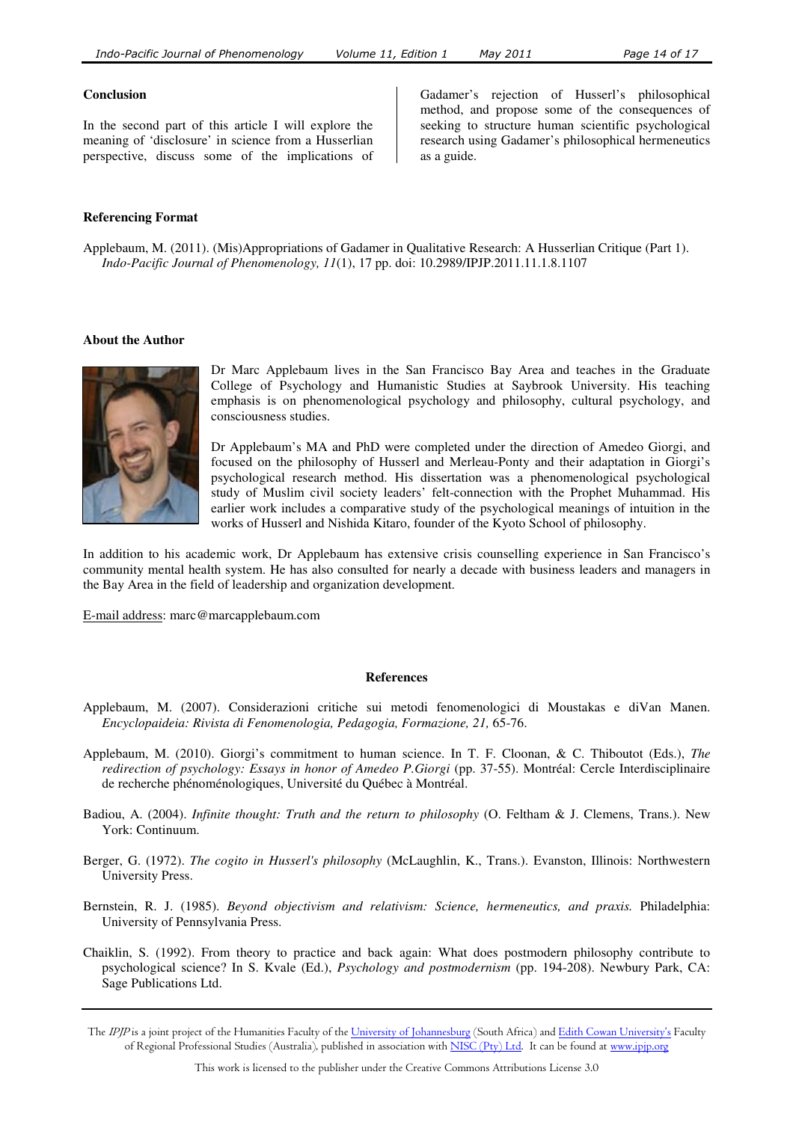## **Conclusion**

In the second part of this article I will explore the meaning of 'disclosure' in science from a Husserlian perspective, discuss some of the implications of

#### **Referencing Format**

Gadamer's rejection of Husserl's philosophical method, and propose some of the consequences of seeking to structure human scientific psychological research using Gadamer's philosophical hermeneutics as a guide.

Applebaum, M. (2011). (Mis)Appropriations of Gadamer in Qualitative Research: A Husserlian Critique (Part 1). *Indo-Pacific Journal of Phenomenology, 11*(1), 17 pp. doi: 10.2989/IPJP.2011.11.1.8.1107

#### **About the Author**



Dr Marc Applebaum lives in the San Francisco Bay Area and teaches in the Graduate College of Psychology and Humanistic Studies at Saybrook University. His teaching emphasis is on phenomenological psychology and philosophy, cultural psychology, and consciousness studies.

Dr Applebaum's MA and PhD were completed under the direction of Amedeo Giorgi, and focused on the philosophy of Husserl and Merleau-Ponty and their adaptation in Giorgi's psychological research method. His dissertation was a phenomenological psychological study of Muslim civil society leaders' felt-connection with the Prophet Muhammad. His earlier work includes a comparative study of the psychological meanings of intuition in the works of Husserl and Nishida Kitaro, founder of the Kyoto School of philosophy.

In addition to his academic work, Dr Applebaum has extensive crisis counselling experience in San Francisco's community mental health system. He has also consulted for nearly a decade with business leaders and managers in the Bay Area in the field of leadership and organization development.

E-mail address: marc@marcapplebaum.com

#### **References**

- Applebaum, M. (2007). Considerazioni critiche sui metodi fenomenologici di Moustakas e diVan Manen. *Encyclopaideia: Rivista di Fenomenologia, Pedagogia, Formazione, 21,* 65-76.
- Applebaum, M. (2010). Giorgi's commitment to human science. In T. F. Cloonan, & C. Thiboutot (Eds.), *The redirection of psychology: Essays in honor of Amedeo P.Giorgi (pp. 37-55). Montréal: Cercle Interdisciplinaire* de recherche phénoménologiques, Université du Québec à Montréal.
- Badiou, A. (2004). *Infinite thought: Truth and the return to philosophy* (O. Feltham & J. Clemens, Trans.). New York: Continuum.
- Berger, G. (1972). *The cogito in Husserl's philosophy* (McLaughlin, K., Trans.). Evanston, Illinois: Northwestern University Press.
- Bernstein, R. J. (1985). *Beyond objectivism and relativism: Science, hermeneutics, and praxis.* Philadelphia: University of Pennsylvania Press.
- Chaiklin, S. (1992). From theory to practice and back again: What does postmodern philosophy contribute to psychological science? In S. Kvale (Ed.), *Psychology and postmodernism* (pp. 194-208). Newbury Park, CA: Sage Publications Ltd.

The IPJP is a joint project of the Humanities Faculty of the University of Johannesburg (South Africa) and Edith Cowan University's Faculty of Regional Professional Studies (Australia), published in association with NISC (Pty) Ltd. It can be found at www.ipjp.org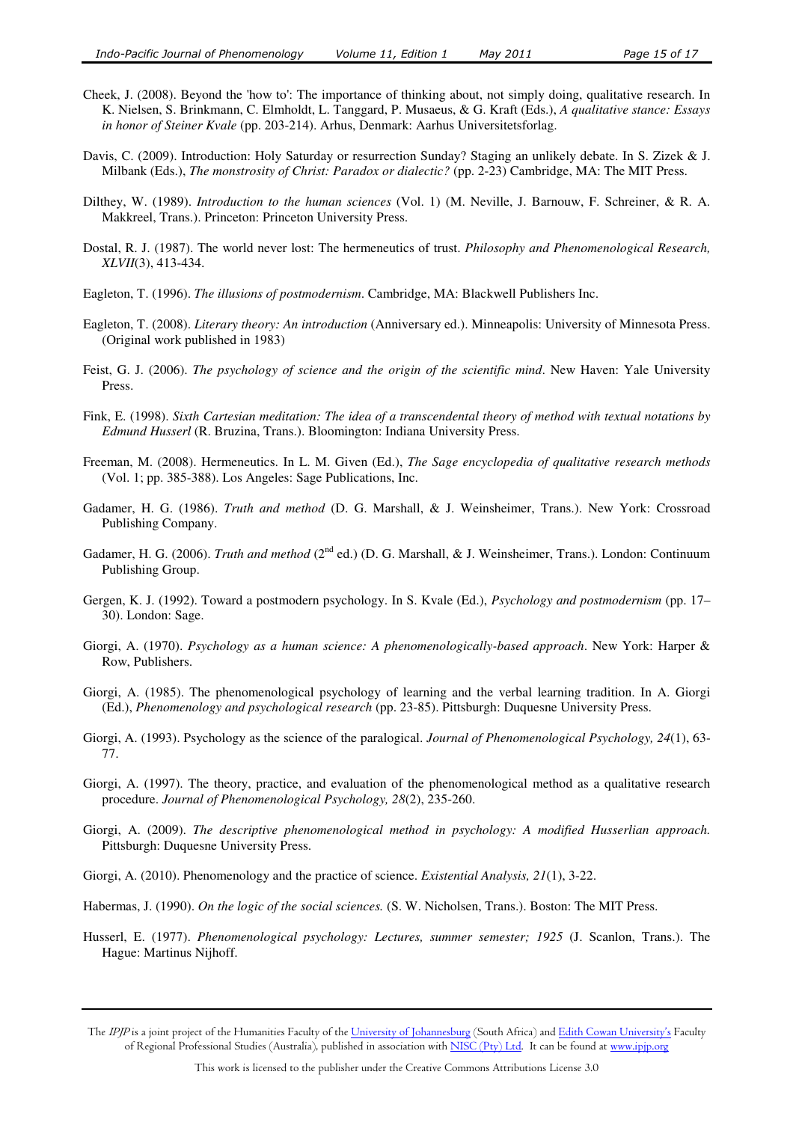- Cheek, J. (2008). Beyond the 'how to': The importance of thinking about, not simply doing, qualitative research. In K. Nielsen, S. Brinkmann, C. Elmholdt, L. Tanggard, P. Musaeus, & G. Kraft (Eds.), *A qualitative stance: Essays in honor of Steiner Kvale* (pp. 203-214). Arhus, Denmark: Aarhus Universitetsforlag.
- Davis, C. (2009). Introduction: Holy Saturday or resurrection Sunday? Staging an unlikely debate. In S. Zizek & J. Milbank (Eds.), *The monstrosity of Christ: Paradox or dialectic?* (pp. 2-23) Cambridge, MA: The MIT Press.
- Dilthey, W. (1989). *Introduction to the human sciences* (Vol. 1) (M. Neville, J. Barnouw, F. Schreiner, & R. A. Makkreel, Trans.). Princeton: Princeton University Press.
- Dostal, R. J. (1987). The world never lost: The hermeneutics of trust. *Philosophy and Phenomenological Research, XLVII*(3), 413-434.
- Eagleton, T. (1996). *The illusions of postmodernism*. Cambridge, MA: Blackwell Publishers Inc.
- Eagleton, T. (2008). *Literary theory: An introduction* (Anniversary ed.). Minneapolis: University of Minnesota Press. (Original work published in 1983)
- Feist, G. J. (2006). *The psychology of science and the origin of the scientific mind*. New Haven: Yale University Press.
- Fink, E. (1998). *Sixth Cartesian meditation: The idea of a transcendental theory of method with textual notations by Edmund Husserl* (R. Bruzina, Trans.). Bloomington: Indiana University Press.
- Freeman, M. (2008). Hermeneutics. In L. M. Given (Ed.), *The Sage encyclopedia of qualitative research methods*  (Vol. 1; pp. 385-388). Los Angeles: Sage Publications, Inc.
- Gadamer, H. G. (1986). *Truth and method* (D. G. Marshall, & J. Weinsheimer, Trans.). New York: Crossroad Publishing Company.
- Gadamer, H. G. (2006). *Truth and method* (2<sup>nd</sup> ed.) (D. G. Marshall, & J. Weinsheimer, Trans.). London: Continuum Publishing Group.
- Gergen, K. J. (1992). Toward a postmodern psychology. In S. Kvale (Ed.), *Psychology and postmodernism* (pp. 17– 30). London: Sage.
- Giorgi, A. (1970). *Psychology as a human science: A phenomenologically-based approach*. New York: Harper & Row, Publishers.
- Giorgi, A. (1985). The phenomenological psychology of learning and the verbal learning tradition. In A. Giorgi (Ed.), *Phenomenology and psychological research* (pp. 23-85). Pittsburgh: Duquesne University Press.
- Giorgi, A. (1993). Psychology as the science of the paralogical. *Journal of Phenomenological Psychology, 24*(1), 63- 77.
- Giorgi, A. (1997). The theory, practice, and evaluation of the phenomenological method as a qualitative research procedure. *Journal of Phenomenological Psychology, 28*(2), 235-260.
- Giorgi, A. (2009). *The descriptive phenomenological method in psychology: A modified Husserlian approach.*  Pittsburgh: Duquesne University Press.
- Giorgi, A. (2010). Phenomenology and the practice of science. *Existential Analysis, 21*(1), 3-22.
- Habermas, J. (1990). *On the logic of the social sciences.* (S. W. Nicholsen, Trans.). Boston: The MIT Press.
- Husserl, E. (1977). *Phenomenological psychology: Lectures, summer semester; 1925* (J. Scanlon, Trans.). The Hague: Martinus Nijhoff.

The IPIP is a joint project of the Humanities Faculty of the University of Johannesburg (South Africa) and Edith Cowan University's Faculty of Regional Professional Studies (Australia), published in association with NISC (Pty) Ltd. It can be found at www.ipjp.org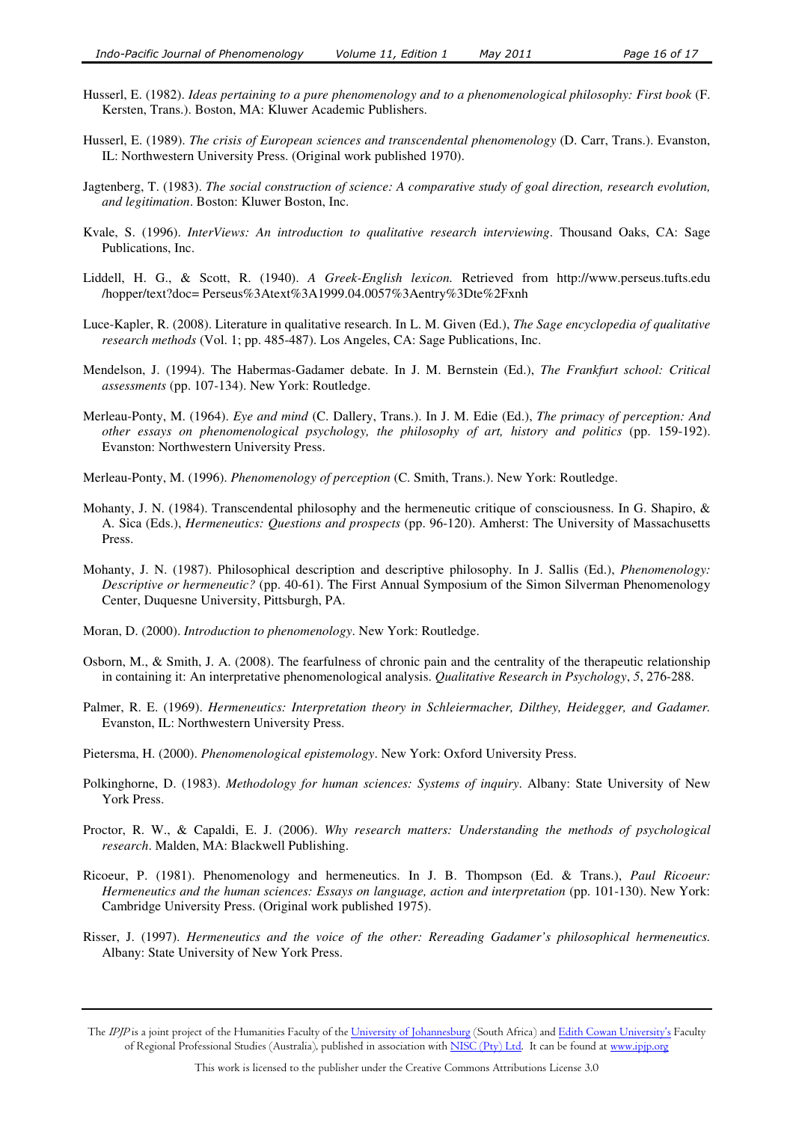- Husserl, E. (1982). *Ideas pertaining to a pure phenomenology and to a phenomenological philosophy: First book* (F. Kersten, Trans.). Boston, MA: Kluwer Academic Publishers.
- Husserl, E. (1989). *The crisis of European sciences and transcendental phenomenology* (D. Carr, Trans.). Evanston, IL: Northwestern University Press. (Original work published 1970).
- Jagtenberg, T. (1983). *The social construction of science: A comparative study of goal direction, research evolution, and legitimation*. Boston: Kluwer Boston, Inc.
- Kvale, S. (1996). *InterViews: An introduction to qualitative research interviewing*. Thousand Oaks, CA: Sage Publications, Inc.
- Liddell, H. G., & Scott, R. (1940). *A Greek-English lexicon.* Retrieved from http://www.perseus.tufts.edu /hopper/text?doc= Perseus%3Atext%3A1999.04.0057%3Aentry%3Dte%2Fxnh
- Luce-Kapler, R. (2008). Literature in qualitative research. In L. M. Given (Ed.), *The Sage encyclopedia of qualitative research methods* (Vol. 1; pp. 485-487). Los Angeles, CA: Sage Publications, Inc.
- Mendelson, J. (1994). The Habermas-Gadamer debate. In J. M. Bernstein (Ed.), *The Frankfurt school: Critical assessments* (pp. 107-134). New York: Routledge.
- Merleau-Ponty, M. (1964). *Eye and mind* (C. Dallery, Trans.). In J. M. Edie (Ed.), *The primacy of perception: And other essays on phenomenological psychology, the philosophy of art, history and politics* (pp. 159-192). Evanston: Northwestern University Press.
- Merleau-Ponty, M. (1996). *Phenomenology of perception* (C. Smith, Trans.). New York: Routledge.
- Mohanty, J. N. (1984). Transcendental philosophy and the hermeneutic critique of consciousness. In G. Shapiro, & A. Sica (Eds.), *Hermeneutics: Questions and prospects* (pp. 96-120). Amherst: The University of Massachusetts Press.
- Mohanty, J. N. (1987). Philosophical description and descriptive philosophy. In J. Sallis (Ed.), *Phenomenology: Descriptive or hermeneutic?* (pp. 40-61). The First Annual Symposium of the Simon Silverman Phenomenology Center, Duquesne University, Pittsburgh, PA.
- Moran, D. (2000). *Introduction to phenomenology*. New York: Routledge.
- Osborn, M., & Smith, J. A. (2008). The fearfulness of chronic pain and the centrality of the therapeutic relationship in containing it: An interpretative phenomenological analysis. *Qualitative Research in Psychology*, *5*, 276-288.
- Palmer, R. E. (1969). *Hermeneutics: Interpretation theory in Schleiermacher, Dilthey, Heidegger, and Gadamer.* Evanston, IL: Northwestern University Press.
- Pietersma, H. (2000). *Phenomenological epistemology*. New York: Oxford University Press.
- Polkinghorne, D. (1983). *Methodology for human sciences: Systems of inquiry*. Albany: State University of New York Press.
- Proctor, R. W., & Capaldi, E. J. (2006). *Why research matters: Understanding the methods of psychological research*. Malden, MA: Blackwell Publishing.
- Ricoeur, P. (1981). Phenomenology and hermeneutics. In J. B. Thompson (Ed. & Trans.), *Paul Ricoeur: Hermeneutics and the human sciences: Essays on language, action and interpretation* (pp. 101-130). New York: Cambridge University Press. (Original work published 1975).
- Risser, J. (1997). *Hermeneutics and the voice of the other: Rereading Gadamer's philosophical hermeneutics.*  Albany: State University of New York Press.

The IPJP is a joint project of the Humanities Faculty of the University of Johannesburg (South Africa) and Edith Cowan University's Faculty of Regional Professional Studies (Australia), published in association with NISC (Pty) Ltd. It can be found at www.ipjp.org